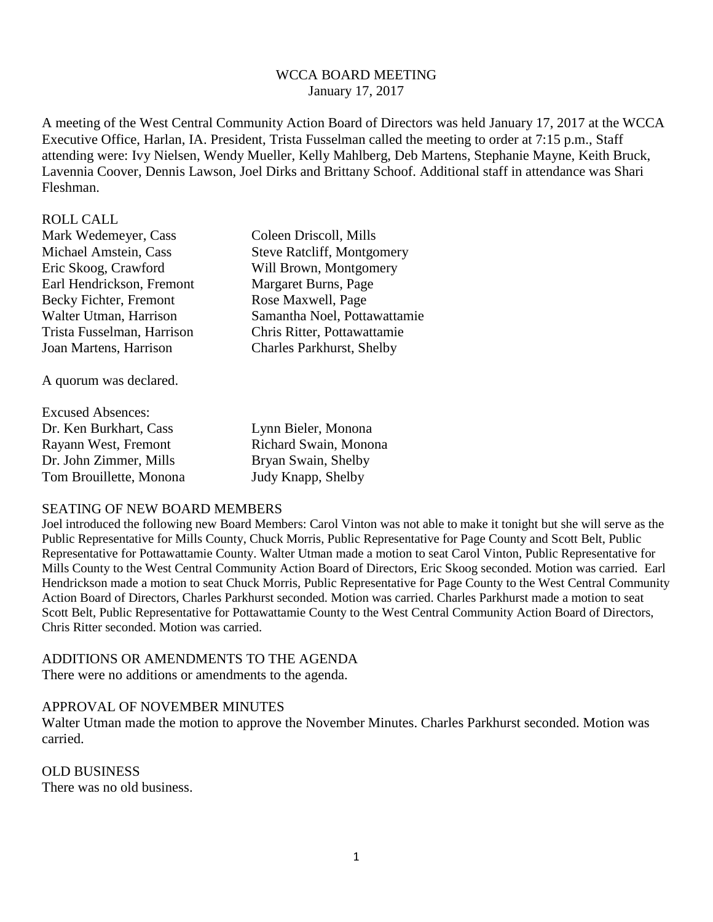## WCCA BOARD MEETING January 17, 2017

A meeting of the West Central Community Action Board of Directors was held January 17, 2017 at the WCCA Executive Office, Harlan, IA. President, Trista Fusselman called the meeting to order at 7:15 p.m., Staff attending were: Ivy Nielsen, Wendy Mueller, Kelly Mahlberg, Deb Martens, Stephanie Mayne, Keith Bruck, Lavennia Coover, Dennis Lawson, Joel Dirks and Brittany Schoof. Additional staff in attendance was Shari Fleshman.

#### ROLL CALL

Mark Wedemeyer, Cass Coleen Driscoll, Mills Michael Amstein, Cass Steve Ratcliff, Montgomery Eric Skoog, Crawford Will Brown, Montgomery Earl Hendrickson, Fremont Margaret Burns, Page Becky Fichter, Fremont Rose Maxwell, Page Walter Utman, Harrison Samantha Noel, Pottawattamie Trista Fusselman, Harrison Chris Ritter, Pottawattamie Joan Martens, Harrison Charles Parkhurst, Shelby

A quorum was declared.

| <b>Excused Absences:</b> |                       |
|--------------------------|-----------------------|
| Dr. Ken Burkhart, Cass   | Lynn Bieler, Monona   |
| Rayann West, Fremont     | Richard Swain, Monona |
| Dr. John Zimmer, Mills   | Bryan Swain, Shelby   |
| Tom Brouillette, Monona  | Judy Knapp, Shelby    |

#### SEATING OF NEW BOARD MEMBERS

Joel introduced the following new Board Members: Carol Vinton was not able to make it tonight but she will serve as the Public Representative for Mills County, Chuck Morris, Public Representative for Page County and Scott Belt, Public Representative for Pottawattamie County. Walter Utman made a motion to seat Carol Vinton, Public Representative for Mills County to the West Central Community Action Board of Directors, Eric Skoog seconded. Motion was carried. Earl Hendrickson made a motion to seat Chuck Morris, Public Representative for Page County to the West Central Community Action Board of Directors, Charles Parkhurst seconded. Motion was carried. Charles Parkhurst made a motion to seat Scott Belt, Public Representative for Pottawattamie County to the West Central Community Action Board of Directors, Chris Ritter seconded. Motion was carried.

## ADDITIONS OR AMENDMENTS TO THE AGENDA

There were no additions or amendments to the agenda.

## APPROVAL OF NOVEMBER MINUTES

Walter Utman made the motion to approve the November Minutes. Charles Parkhurst seconded. Motion was carried.

#### OLD BUSINESS

There was no old business.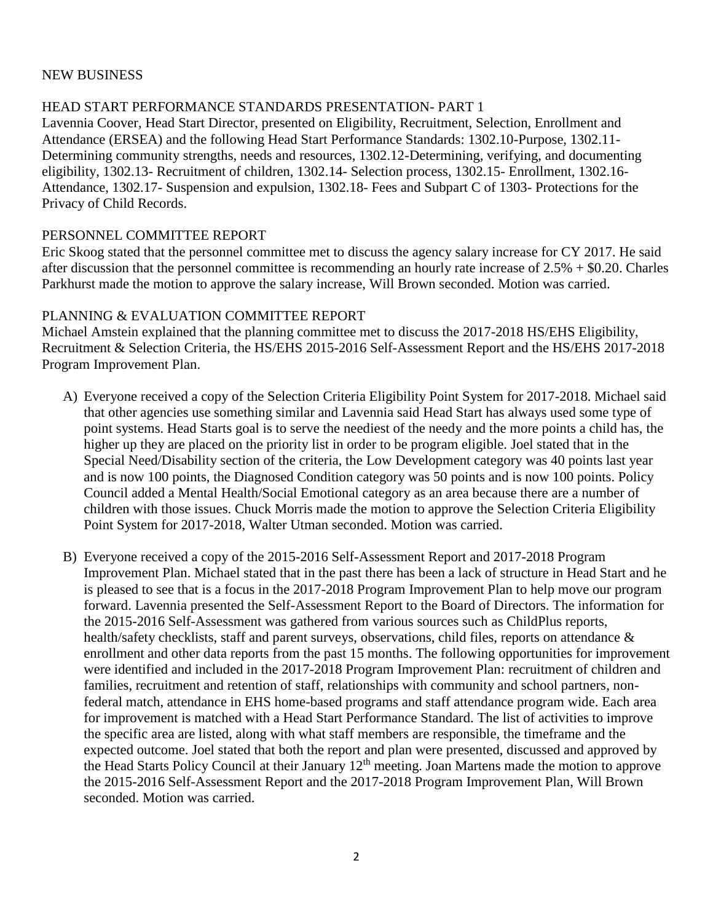## NEW BUSINESS

# HEAD START PERFORMANCE STANDARDS PRESENTATION- PART 1

Lavennia Coover, Head Start Director, presented on Eligibility, Recruitment, Selection, Enrollment and Attendance (ERSEA) and the following Head Start Performance Standards: 1302.10-Purpose, 1302.11- Determining community strengths, needs and resources, 1302.12-Determining, verifying, and documenting eligibility, 1302.13- Recruitment of children, 1302.14- Selection process, 1302.15- Enrollment, 1302.16- Attendance, 1302.17- Suspension and expulsion, 1302.18- Fees and Subpart C of 1303- Protections for the Privacy of Child Records.

## PERSONNEL COMMITTEE REPORT

Eric Skoog stated that the personnel committee met to discuss the agency salary increase for CY 2017. He said after discussion that the personnel committee is recommending an hourly rate increase of 2.5% + \$0.20. Charles Parkhurst made the motion to approve the salary increase, Will Brown seconded. Motion was carried.

## PLANNING & EVALUATION COMMITTEE REPORT

Michael Amstein explained that the planning committee met to discuss the 2017-2018 HS/EHS Eligibility, Recruitment & Selection Criteria, the HS/EHS 2015-2016 Self-Assessment Report and the HS/EHS 2017-2018 Program Improvement Plan.

- A) Everyone received a copy of the Selection Criteria Eligibility Point System for 2017-2018. Michael said that other agencies use something similar and Lavennia said Head Start has always used some type of point systems. Head Starts goal is to serve the neediest of the needy and the more points a child has, the higher up they are placed on the priority list in order to be program eligible. Joel stated that in the Special Need/Disability section of the criteria, the Low Development category was 40 points last year and is now 100 points, the Diagnosed Condition category was 50 points and is now 100 points. Policy Council added a Mental Health/Social Emotional category as an area because there are a number of children with those issues. Chuck Morris made the motion to approve the Selection Criteria Eligibility Point System for 2017-2018, Walter Utman seconded. Motion was carried.
- B) Everyone received a copy of the 2015-2016 Self-Assessment Report and 2017-2018 Program Improvement Plan. Michael stated that in the past there has been a lack of structure in Head Start and he is pleased to see that is a focus in the 2017-2018 Program Improvement Plan to help move our program forward. Lavennia presented the Self-Assessment Report to the Board of Directors. The information for the 2015-2016 Self-Assessment was gathered from various sources such as ChildPlus reports, health/safety checklists, staff and parent surveys, observations, child files, reports on attendance & enrollment and other data reports from the past 15 months. The following opportunities for improvement were identified and included in the 2017-2018 Program Improvement Plan: recruitment of children and families, recruitment and retention of staff, relationships with community and school partners, nonfederal match, attendance in EHS home-based programs and staff attendance program wide. Each area for improvement is matched with a Head Start Performance Standard. The list of activities to improve the specific area are listed, along with what staff members are responsible, the timeframe and the expected outcome. Joel stated that both the report and plan were presented, discussed and approved by the Head Starts Policy Council at their January 12<sup>th</sup> meeting. Joan Martens made the motion to approve the 2015-2016 Self-Assessment Report and the 2017-2018 Program Improvement Plan, Will Brown seconded. Motion was carried.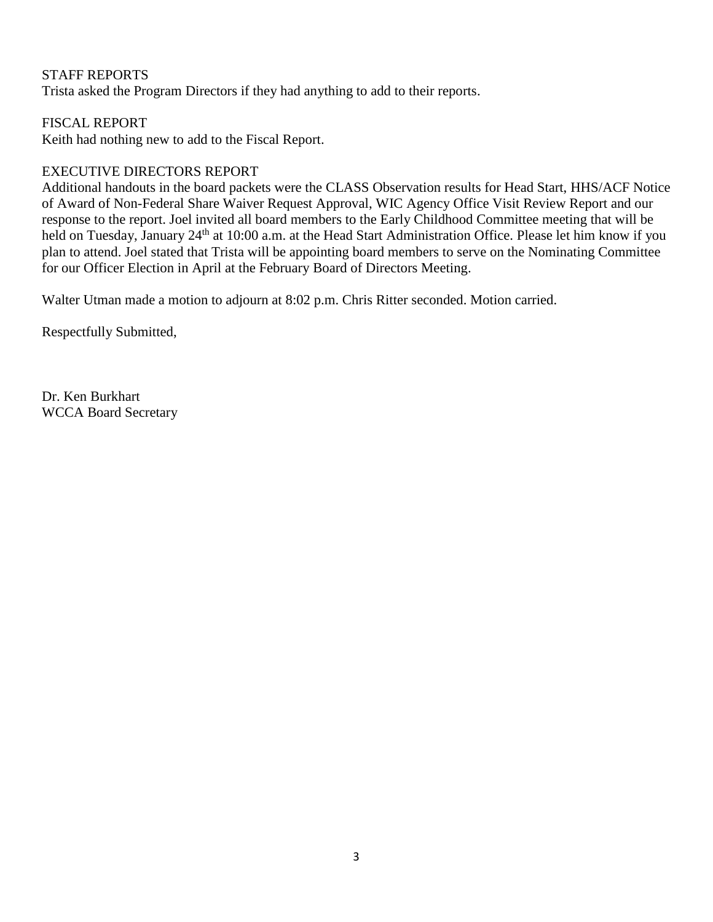# STAFF REPORTS

Trista asked the Program Directors if they had anything to add to their reports.

# FISCAL REPORT

Keith had nothing new to add to the Fiscal Report.

# EXECUTIVE DIRECTORS REPORT

Additional handouts in the board packets were the CLASS Observation results for Head Start, HHS/ACF Notice of Award of Non-Federal Share Waiver Request Approval, WIC Agency Office Visit Review Report and our response to the report. Joel invited all board members to the Early Childhood Committee meeting that will be held on Tuesday, January 24<sup>th</sup> at 10:00 a.m. at the Head Start Administration Office. Please let him know if you plan to attend. Joel stated that Trista will be appointing board members to serve on the Nominating Committee for our Officer Election in April at the February Board of Directors Meeting.

Walter Utman made a motion to adjourn at 8:02 p.m. Chris Ritter seconded. Motion carried.

Respectfully Submitted,

Dr. Ken Burkhart WCCA Board Secretary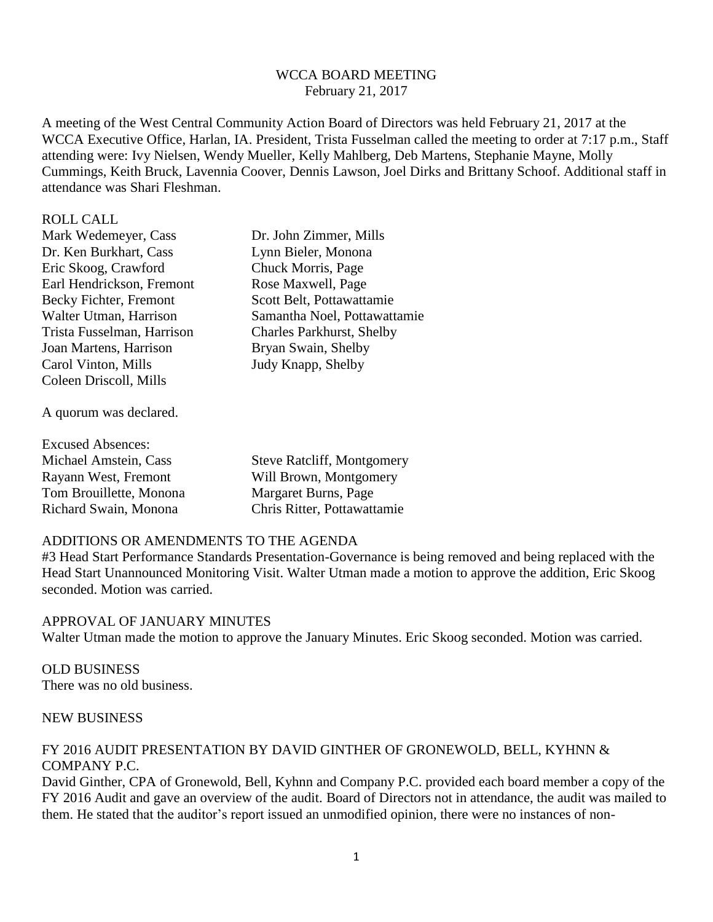## WCCA BOARD MEETING February 21, 2017

A meeting of the West Central Community Action Board of Directors was held February 21, 2017 at the WCCA Executive Office, Harlan, IA. President, Trista Fusselman called the meeting to order at 7:17 p.m., Staff attending were: Ivy Nielsen, Wendy Mueller, Kelly Mahlberg, Deb Martens, Stephanie Mayne, Molly Cummings, Keith Bruck, Lavennia Coover, Dennis Lawson, Joel Dirks and Brittany Schoof. Additional staff in attendance was Shari Fleshman.

#### ROLL CALL

Mark Wedemeyer, Cass Dr. John Zimmer, Mills Dr. Ken Burkhart, Cass Lynn Bieler, Monona Eric Skoog, Crawford Chuck Morris, Page Earl Hendrickson, Fremont Rose Maxwell, Page Becky Fichter, Fremont Scott Belt, Pottawattamie Trista Fusselman, Harrison Charles Parkhurst, Shelby Joan Martens, Harrison Bryan Swain, Shelby Carol Vinton, Mills Judy Knapp, Shelby Coleen Driscoll, Mills

Walter Utman, Harrison Samantha Noel, Pottawattamie

A quorum was declared.

| <b>Excused Absences:</b> |                                   |
|--------------------------|-----------------------------------|
| Michael Amstein, Cass    | <b>Steve Ratcliff, Montgomery</b> |
| Rayann West, Fremont     | Will Brown, Montgomery            |
| Tom Brouillette, Monona  | Margaret Burns, Page              |
| Richard Swain, Monona    | Chris Ritter, Pottawattamie       |

## ADDITIONS OR AMENDMENTS TO THE AGENDA

#3 Head Start Performance Standards Presentation-Governance is being removed and being replaced with the Head Start Unannounced Monitoring Visit. Walter Utman made a motion to approve the addition, Eric Skoog seconded. Motion was carried.

## APPROVAL OF JANUARY MINUTES

Walter Utman made the motion to approve the January Minutes. Eric Skoog seconded. Motion was carried.

OLD BUSINESS There was no old business.

# NEW BUSINESS

# FY 2016 AUDIT PRESENTATION BY DAVID GINTHER OF GRONEWOLD, BELL, KYHNN & COMPANY P.C.

David Ginther, CPA of Gronewold, Bell, Kyhnn and Company P.C. provided each board member a copy of the FY 2016 Audit and gave an overview of the audit. Board of Directors not in attendance, the audit was mailed to them. He stated that the auditor's report issued an unmodified opinion, there were no instances of non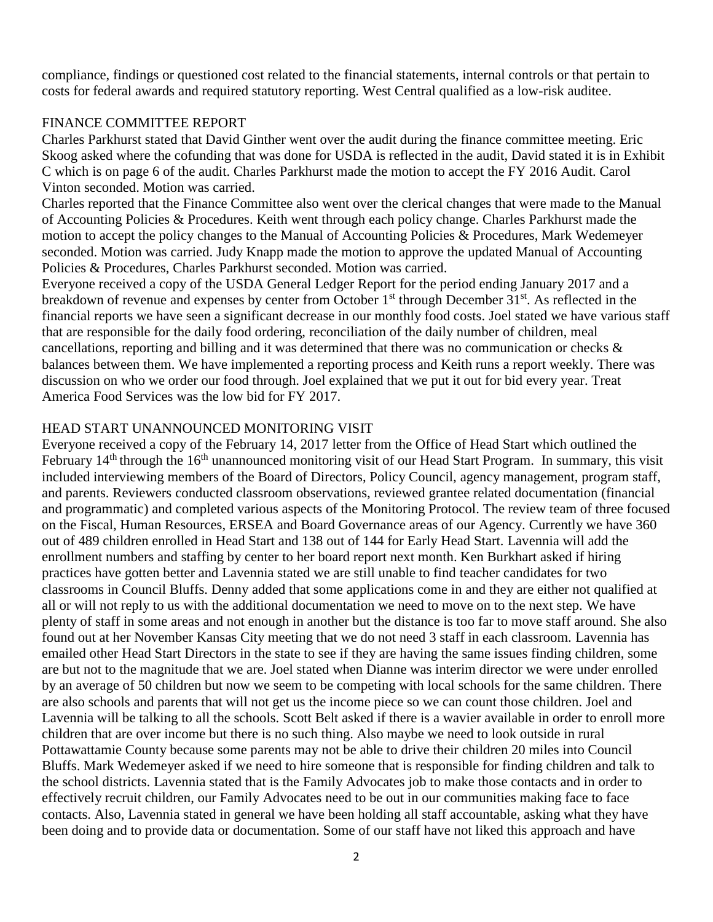compliance, findings or questioned cost related to the financial statements, internal controls or that pertain to costs for federal awards and required statutory reporting. West Central qualified as a low-risk auditee.

## FINANCE COMMITTEE REPORT

Charles Parkhurst stated that David Ginther went over the audit during the finance committee meeting. Eric Skoog asked where the cofunding that was done for USDA is reflected in the audit, David stated it is in Exhibit C which is on page 6 of the audit. Charles Parkhurst made the motion to accept the FY 2016 Audit. Carol Vinton seconded. Motion was carried.

Charles reported that the Finance Committee also went over the clerical changes that were made to the Manual of Accounting Policies & Procedures. Keith went through each policy change. Charles Parkhurst made the motion to accept the policy changes to the Manual of Accounting Policies & Procedures, Mark Wedemeyer seconded. Motion was carried. Judy Knapp made the motion to approve the updated Manual of Accounting Policies & Procedures, Charles Parkhurst seconded. Motion was carried.

Everyone received a copy of the USDA General Ledger Report for the period ending January 2017 and a breakdown of revenue and expenses by center from October 1<sup>st</sup> through December 31<sup>st</sup>. As reflected in the financial reports we have seen a significant decrease in our monthly food costs. Joel stated we have various staff that are responsible for the daily food ordering, reconciliation of the daily number of children, meal cancellations, reporting and billing and it was determined that there was no communication or checks & balances between them. We have implemented a reporting process and Keith runs a report weekly. There was discussion on who we order our food through. Joel explained that we put it out for bid every year. Treat America Food Services was the low bid for FY 2017.

### HEAD START UNANNOUNCED MONITORING VISIT

Everyone received a copy of the February 14, 2017 letter from the Office of Head Start which outlined the February 14<sup>th</sup> through the 16<sup>th</sup> unannounced monitoring visit of our Head Start Program. In summary, this visit included interviewing members of the Board of Directors, Policy Council, agency management, program staff, and parents. Reviewers conducted classroom observations, reviewed grantee related documentation (financial and programmatic) and completed various aspects of the Monitoring Protocol. The review team of three focused on the Fiscal, Human Resources, ERSEA and Board Governance areas of our Agency. Currently we have 360 out of 489 children enrolled in Head Start and 138 out of 144 for Early Head Start. Lavennia will add the enrollment numbers and staffing by center to her board report next month. Ken Burkhart asked if hiring practices have gotten better and Lavennia stated we are still unable to find teacher candidates for two classrooms in Council Bluffs. Denny added that some applications come in and they are either not qualified at all or will not reply to us with the additional documentation we need to move on to the next step. We have plenty of staff in some areas and not enough in another but the distance is too far to move staff around. She also found out at her November Kansas City meeting that we do not need 3 staff in each classroom. Lavennia has emailed other Head Start Directors in the state to see if they are having the same issues finding children, some are but not to the magnitude that we are. Joel stated when Dianne was interim director we were under enrolled by an average of 50 children but now we seem to be competing with local schools for the same children. There are also schools and parents that will not get us the income piece so we can count those children. Joel and Lavennia will be talking to all the schools. Scott Belt asked if there is a wavier available in order to enroll more children that are over income but there is no such thing. Also maybe we need to look outside in rural Pottawattamie County because some parents may not be able to drive their children 20 miles into Council Bluffs. Mark Wedemeyer asked if we need to hire someone that is responsible for finding children and talk to the school districts. Lavennia stated that is the Family Advocates job to make those contacts and in order to effectively recruit children, our Family Advocates need to be out in our communities making face to face contacts. Also, Lavennia stated in general we have been holding all staff accountable, asking what they have been doing and to provide data or documentation. Some of our staff have not liked this approach and have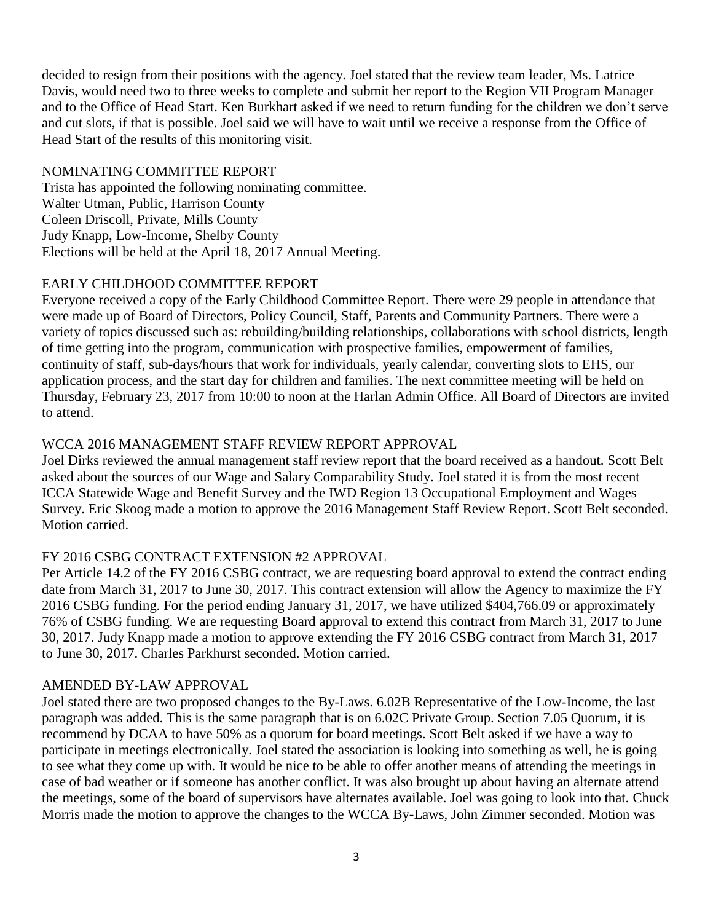decided to resign from their positions with the agency. Joel stated that the review team leader, Ms. Latrice Davis, would need two to three weeks to complete and submit her report to the Region VII Program Manager and to the Office of Head Start. Ken Burkhart asked if we need to return funding for the children we don't serve and cut slots, if that is possible. Joel said we will have to wait until we receive a response from the Office of Head Start of the results of this monitoring visit.

# NOMINATING COMMITTEE REPORT

Trista has appointed the following nominating committee. Walter Utman, Public, Harrison County Coleen Driscoll, Private, Mills County Judy Knapp, Low-Income, Shelby County Elections will be held at the April 18, 2017 Annual Meeting.

# EARLY CHILDHOOD COMMITTEE REPORT

Everyone received a copy of the Early Childhood Committee Report. There were 29 people in attendance that were made up of Board of Directors, Policy Council, Staff, Parents and Community Partners. There were a variety of topics discussed such as: rebuilding/building relationships, collaborations with school districts, length of time getting into the program, communication with prospective families, empowerment of families, continuity of staff, sub-days/hours that work for individuals, yearly calendar, converting slots to EHS, our application process, and the start day for children and families. The next committee meeting will be held on Thursday, February 23, 2017 from 10:00 to noon at the Harlan Admin Office. All Board of Directors are invited to attend.

# WCCA 2016 MANAGEMENT STAFF REVIEW REPORT APPROVAL

Joel Dirks reviewed the annual management staff review report that the board received as a handout. Scott Belt asked about the sources of our Wage and Salary Comparability Study. Joel stated it is from the most recent ICCA Statewide Wage and Benefit Survey and the IWD Region 13 Occupational Employment and Wages Survey. Eric Skoog made a motion to approve the 2016 Management Staff Review Report. Scott Belt seconded. Motion carried.

# FY 2016 CSBG CONTRACT EXTENSION #2 APPROVAL

Per Article 14.2 of the FY 2016 CSBG contract, we are requesting board approval to extend the contract ending date from March 31, 2017 to June 30, 2017. This contract extension will allow the Agency to maximize the FY 2016 CSBG funding. For the period ending January 31, 2017, we have utilized \$404,766.09 or approximately 76% of CSBG funding. We are requesting Board approval to extend this contract from March 31, 2017 to June 30, 2017. Judy Knapp made a motion to approve extending the FY 2016 CSBG contract from March 31, 2017 to June 30, 2017. Charles Parkhurst seconded. Motion carried.

# AMENDED BY-LAW APPROVAL

Joel stated there are two proposed changes to the By-Laws. 6.02B Representative of the Low-Income, the last paragraph was added. This is the same paragraph that is on 6.02C Private Group. Section 7.05 Quorum, it is recommend by DCAA to have 50% as a quorum for board meetings. Scott Belt asked if we have a way to participate in meetings electronically. Joel stated the association is looking into something as well, he is going to see what they come up with. It would be nice to be able to offer another means of attending the meetings in case of bad weather or if someone has another conflict. It was also brought up about having an alternate attend the meetings, some of the board of supervisors have alternates available. Joel was going to look into that. Chuck Morris made the motion to approve the changes to the WCCA By-Laws, John Zimmer seconded. Motion was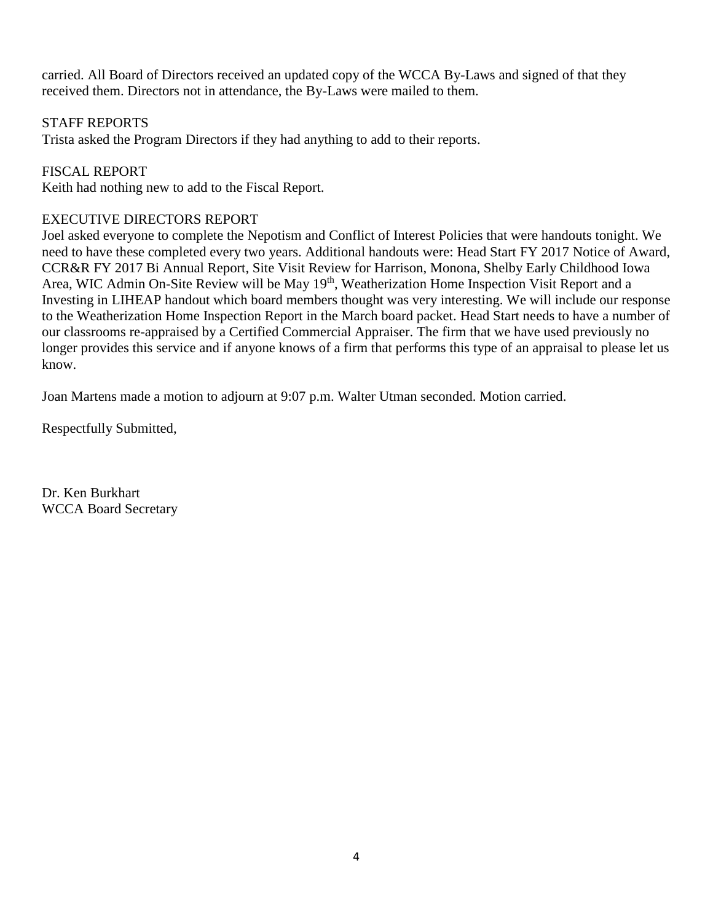carried. All Board of Directors received an updated copy of the WCCA By-Laws and signed of that they received them. Directors not in attendance, the By-Laws were mailed to them.

## STAFF REPORTS

Trista asked the Program Directors if they had anything to add to their reports.

# FISCAL REPORT

Keith had nothing new to add to the Fiscal Report.

# EXECUTIVE DIRECTORS REPORT

Joel asked everyone to complete the Nepotism and Conflict of Interest Policies that were handouts tonight. We need to have these completed every two years. Additional handouts were: Head Start FY 2017 Notice of Award, CCR&R FY 2017 Bi Annual Report, Site Visit Review for Harrison, Monona, Shelby Early Childhood Iowa Area, WIC Admin On-Site Review will be May 19<sup>th</sup>, Weatherization Home Inspection Visit Report and a Investing in LIHEAP handout which board members thought was very interesting. We will include our response to the Weatherization Home Inspection Report in the March board packet. Head Start needs to have a number of our classrooms re-appraised by a Certified Commercial Appraiser. The firm that we have used previously no longer provides this service and if anyone knows of a firm that performs this type of an appraisal to please let us know.

Joan Martens made a motion to adjourn at 9:07 p.m. Walter Utman seconded. Motion carried.

Respectfully Submitted,

Dr. Ken Burkhart WCCA Board Secretary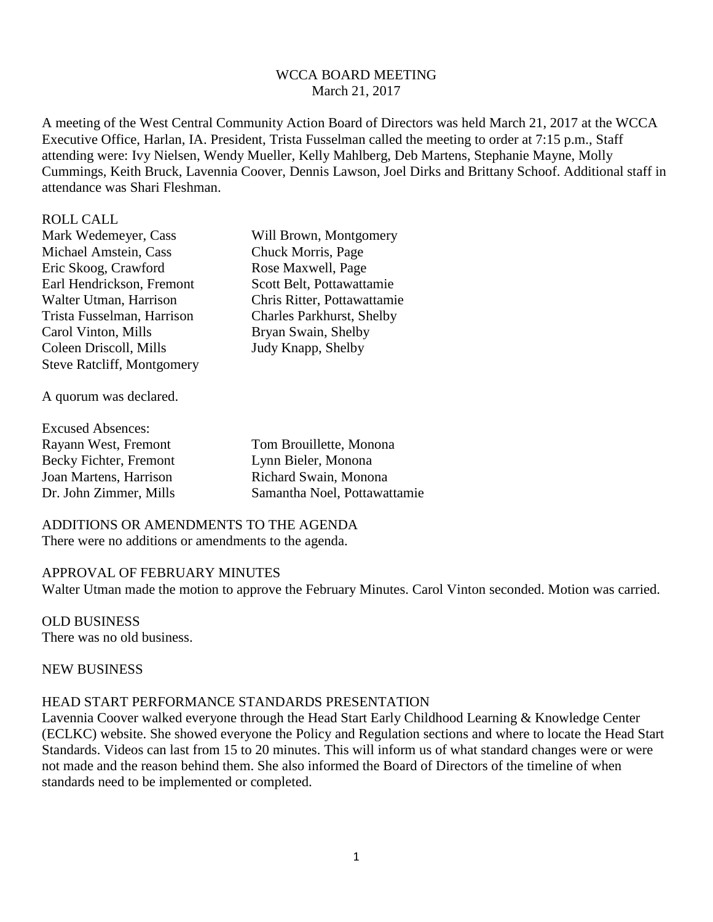### WCCA BOARD MEETING March 21, 2017

A meeting of the West Central Community Action Board of Directors was held March 21, 2017 at the WCCA Executive Office, Harlan, IA. President, Trista Fusselman called the meeting to order at 7:15 p.m., Staff attending were: Ivy Nielsen, Wendy Mueller, Kelly Mahlberg, Deb Martens, Stephanie Mayne, Molly Cummings, Keith Bruck, Lavennia Coover, Dennis Lawson, Joel Dirks and Brittany Schoof. Additional staff in attendance was Shari Fleshman.

#### ROLL CALL

Mark Wedemeyer, Cass Will Brown, Montgomery Michael Amstein, Cass Chuck Morris, Page Eric Skoog, Crawford Rose Maxwell, Page Earl Hendrickson, Fremont Scott Belt, Pottawattamie Walter Utman, Harrison Chris Ritter, Pottawattamie Trista Fusselman, Harrison Charles Parkhurst, Shelby Carol Vinton, Mills Bryan Swain, Shelby Coleen Driscoll, Mills Judy Knapp, Shelby Steve Ratcliff, Montgomery

A quorum was declared.

| <b>Excused Absences:</b> |                              |
|--------------------------|------------------------------|
| Rayann West, Fremont     | Tom Brouillette, Monona      |
| Becky Fichter, Fremont   | Lynn Bieler, Monona          |
| Joan Martens, Harrison   | Richard Swain, Monona        |
| Dr. John Zimmer, Mills   | Samantha Noel, Pottawattamie |

ADDITIONS OR AMENDMENTS TO THE AGENDA There were no additions or amendments to the agenda.

## APPROVAL OF FEBRUARY MINUTES

Walter Utman made the motion to approve the February Minutes. Carol Vinton seconded. Motion was carried.

OLD BUSINESS There was no old business.

## NEW BUSINESS

#### HEAD START PERFORMANCE STANDARDS PRESENTATION

Lavennia Coover walked everyone through the Head Start Early Childhood Learning & Knowledge Center (ECLKC) website. She showed everyone the Policy and Regulation sections and where to locate the Head Start Standards. Videos can last from 15 to 20 minutes. This will inform us of what standard changes were or were not made and the reason behind them. She also informed the Board of Directors of the timeline of when standards need to be implemented or completed.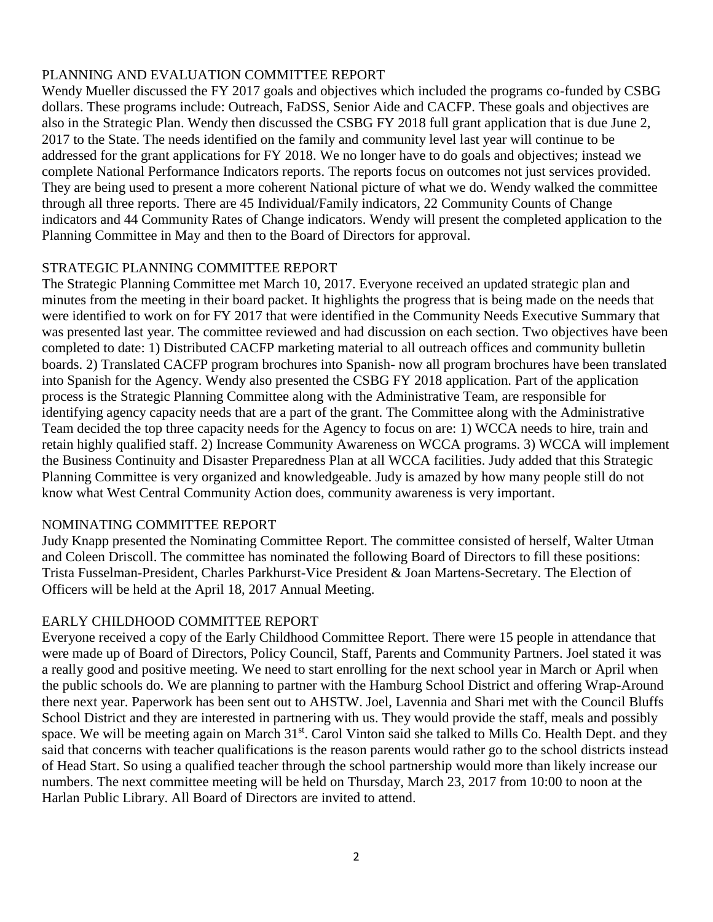# PLANNING AND EVALUATION COMMITTEE REPORT

Wendy Mueller discussed the FY 2017 goals and objectives which included the programs co-funded by CSBG dollars. These programs include: Outreach, FaDSS, Senior Aide and CACFP. These goals and objectives are also in the Strategic Plan. Wendy then discussed the CSBG FY 2018 full grant application that is due June 2, 2017 to the State. The needs identified on the family and community level last year will continue to be addressed for the grant applications for FY 2018. We no longer have to do goals and objectives; instead we complete National Performance Indicators reports. The reports focus on outcomes not just services provided. They are being used to present a more coherent National picture of what we do. Wendy walked the committee through all three reports. There are 45 Individual/Family indicators, 22 Community Counts of Change indicators and 44 Community Rates of Change indicators. Wendy will present the completed application to the Planning Committee in May and then to the Board of Directors for approval.

# STRATEGIC PLANNING COMMITTEE REPORT

The Strategic Planning Committee met March 10, 2017. Everyone received an updated strategic plan and minutes from the meeting in their board packet. It highlights the progress that is being made on the needs that were identified to work on for FY 2017 that were identified in the Community Needs Executive Summary that was presented last year. The committee reviewed and had discussion on each section. Two objectives have been completed to date: 1) Distributed CACFP marketing material to all outreach offices and community bulletin boards. 2) Translated CACFP program brochures into Spanish- now all program brochures have been translated into Spanish for the Agency. Wendy also presented the CSBG FY 2018 application. Part of the application process is the Strategic Planning Committee along with the Administrative Team, are responsible for identifying agency capacity needs that are a part of the grant. The Committee along with the Administrative Team decided the top three capacity needs for the Agency to focus on are: 1) WCCA needs to hire, train and retain highly qualified staff. 2) Increase Community Awareness on WCCA programs. 3) WCCA will implement the Business Continuity and Disaster Preparedness Plan at all WCCA facilities. Judy added that this Strategic Planning Committee is very organized and knowledgeable. Judy is amazed by how many people still do not know what West Central Community Action does, community awareness is very important.

# NOMINATING COMMITTEE REPORT

Judy Knapp presented the Nominating Committee Report. The committee consisted of herself, Walter Utman and Coleen Driscoll. The committee has nominated the following Board of Directors to fill these positions: Trista Fusselman-President, Charles Parkhurst-Vice President & Joan Martens-Secretary. The Election of Officers will be held at the April 18, 2017 Annual Meeting.

# EARLY CHILDHOOD COMMITTEE REPORT

Everyone received a copy of the Early Childhood Committee Report. There were 15 people in attendance that were made up of Board of Directors, Policy Council, Staff, Parents and Community Partners. Joel stated it was a really good and positive meeting. We need to start enrolling for the next school year in March or April when the public schools do. We are planning to partner with the Hamburg School District and offering Wrap-Around there next year. Paperwork has been sent out to AHSTW. Joel, Lavennia and Shari met with the Council Bluffs School District and they are interested in partnering with us. They would provide the staff, meals and possibly space. We will be meeting again on March 31<sup>st</sup>. Carol Vinton said she talked to Mills Co. Health Dept. and they said that concerns with teacher qualifications is the reason parents would rather go to the school districts instead of Head Start. So using a qualified teacher through the school partnership would more than likely increase our numbers. The next committee meeting will be held on Thursday, March 23, 2017 from 10:00 to noon at the Harlan Public Library. All Board of Directors are invited to attend.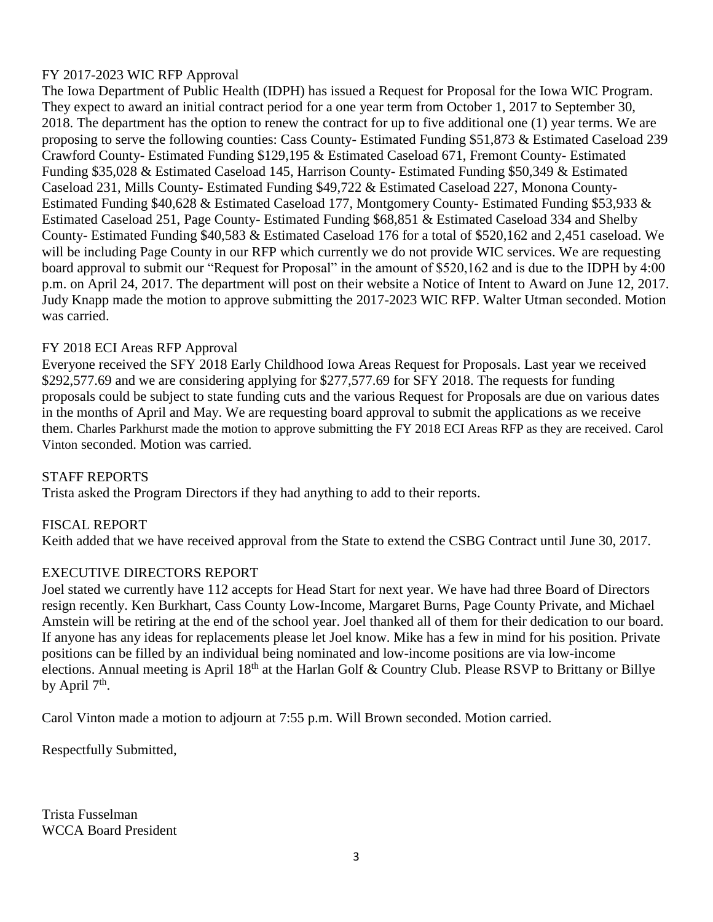# FY 2017-2023 WIC RFP Approval

The Iowa Department of Public Health (IDPH) has issued a Request for Proposal for the Iowa WIC Program. They expect to award an initial contract period for a one year term from October 1, 2017 to September 30, 2018. The department has the option to renew the contract for up to five additional one (1) year terms. We are proposing to serve the following counties: Cass County- Estimated Funding \$51,873 & Estimated Caseload 239 Crawford County- Estimated Funding \$129,195 & Estimated Caseload 671, Fremont County- Estimated Funding \$35,028 & Estimated Caseload 145, Harrison County- Estimated Funding \$50,349 & Estimated Caseload 231, Mills County- Estimated Funding \$49,722 & Estimated Caseload 227, Monona County-Estimated Funding \$40,628 & Estimated Caseload 177, Montgomery County- Estimated Funding \$53,933 & Estimated Caseload 251, Page County- Estimated Funding \$68,851 & Estimated Caseload 334 and Shelby County- Estimated Funding \$40,583 & Estimated Caseload 176 for a total of \$520,162 and 2,451 caseload. We will be including Page County in our RFP which currently we do not provide WIC services. We are requesting board approval to submit our "Request for Proposal" in the amount of \$520,162 and is due to the IDPH by 4:00 p.m. on April 24, 2017. The department will post on their website a Notice of Intent to Award on June 12, 2017. Judy Knapp made the motion to approve submitting the 2017-2023 WIC RFP. Walter Utman seconded. Motion was carried.

# FY 2018 ECI Areas RFP Approval

Everyone received the SFY 2018 Early Childhood Iowa Areas Request for Proposals. Last year we received \$292,577.69 and we are considering applying for \$277,577.69 for SFY 2018. The requests for funding proposals could be subject to state funding cuts and the various Request for Proposals are due on various dates in the months of April and May. We are requesting board approval to submit the applications as we receive them. Charles Parkhurst made the motion to approve submitting the FY 2018 ECI Areas RFP as they are received. Carol Vinton seconded. Motion was carried.

# STAFF REPORTS

Trista asked the Program Directors if they had anything to add to their reports.

# FISCAL REPORT

Keith added that we have received approval from the State to extend the CSBG Contract until June 30, 2017.

# EXECUTIVE DIRECTORS REPORT

Joel stated we currently have 112 accepts for Head Start for next year. We have had three Board of Directors resign recently. Ken Burkhart, Cass County Low-Income, Margaret Burns, Page County Private, and Michael Amstein will be retiring at the end of the school year. Joel thanked all of them for their dedication to our board. If anyone has any ideas for replacements please let Joel know. Mike has a few in mind for his position. Private positions can be filled by an individual being nominated and low-income positions are via low-income elections. Annual meeting is April 18<sup>th</sup> at the Harlan Golf & Country Club. Please RSVP to Brittany or Billye by April  $7<sup>th</sup>$ .

Carol Vinton made a motion to adjourn at 7:55 p.m. Will Brown seconded. Motion carried.

Respectfully Submitted,

Trista Fusselman WCCA Board President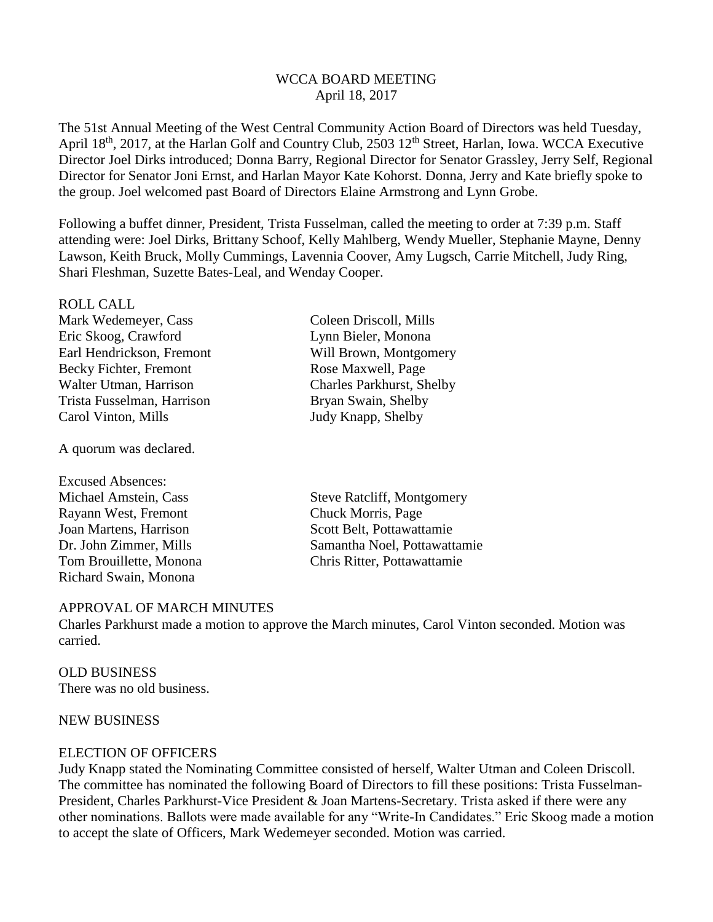## WCCA BOARD MEETING April 18, 2017

The 51st Annual Meeting of the West Central Community Action Board of Directors was held Tuesday, April 18<sup>th</sup>, 2017, at the Harlan Golf and Country Club, 2503 12<sup>th</sup> Street, Harlan, Iowa. WCCA Executive Director Joel Dirks introduced; Donna Barry, Regional Director for Senator Grassley, Jerry Self, Regional Director for Senator Joni Ernst, and Harlan Mayor Kate Kohorst. Donna, Jerry and Kate briefly spoke to the group. Joel welcomed past Board of Directors Elaine Armstrong and Lynn Grobe.

Following a buffet dinner, President, Trista Fusselman, called the meeting to order at 7:39 p.m. Staff attending were: Joel Dirks, Brittany Schoof, Kelly Mahlberg, Wendy Mueller, Stephanie Mayne, Denny Lawson, Keith Bruck, Molly Cummings, Lavennia Coover, Amy Lugsch, Carrie Mitchell, Judy Ring, Shari Fleshman, Suzette Bates-Leal, and Wenday Cooper.

| <b>ROLL CALL</b>           |
|----------------------------|
| Mark Wedemeyer, Cass       |
| Eric Skoog, Crawford       |
| Earl Hendrickson, Fremont  |
| Becky Fichter, Fremont     |
| Walter Utman, Harrison     |
| Trista Fusselman, Harrison |
| Carol Vinton, Mills        |

A quorum was declared.

Excused Absences: Rayann West, Fremont Chuck Morris, Page Joan Martens, Harrison Scott Belt, Pottawattamie Richard Swain, Monona

Coleen Driscoll, Mills Lynn Bieler, Monona Will Brown, Montgomery Rose Maxwell, Page Charles Parkhurst, Shelby Bryan Swain, Shelby Judy Knapp, Shelby

Michael Amstein, Cass Steve Ratcliff, Montgomery Dr. John Zimmer, Mills Samantha Noel, Pottawattamie Tom Brouillette, Monona Chris Ritter, Pottawattamie

# APPROVAL OF MARCH MINUTES

Charles Parkhurst made a motion to approve the March minutes, Carol Vinton seconded. Motion was carried.

#### OLD BUSINESS There was no old business.

## NEW BUSINESS

# ELECTION OF OFFICERS

Judy Knapp stated the Nominating Committee consisted of herself, Walter Utman and Coleen Driscoll. The committee has nominated the following Board of Directors to fill these positions: Trista Fusselman-President, Charles Parkhurst-Vice President & Joan Martens-Secretary. Trista asked if there were any other nominations. Ballots were made available for any "Write-In Candidates." Eric Skoog made a motion to accept the slate of Officers, Mark Wedemeyer seconded. Motion was carried.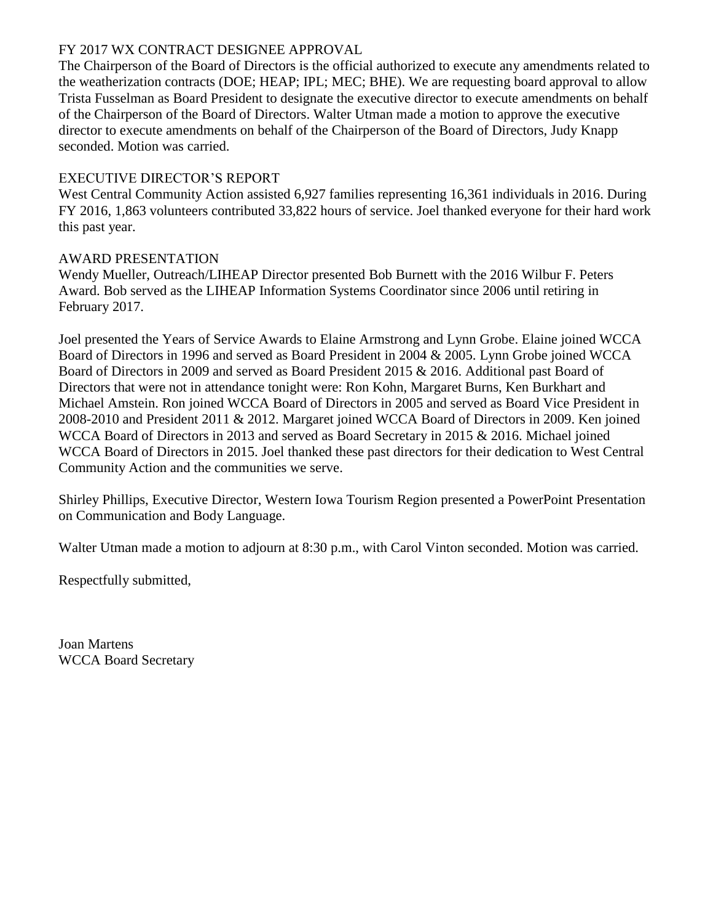# FY 2017 WX CONTRACT DESIGNEE APPROVAL

The Chairperson of the Board of Directors is the official authorized to execute any amendments related to the weatherization contracts (DOE; HEAP; IPL; MEC; BHE). We are requesting board approval to allow Trista Fusselman as Board President to designate the executive director to execute amendments on behalf of the Chairperson of the Board of Directors. Walter Utman made a motion to approve the executive director to execute amendments on behalf of the Chairperson of the Board of Directors, Judy Knapp seconded. Motion was carried.

# EXECUTIVE DIRECTOR'S REPORT

West Central Community Action assisted 6,927 families representing 16,361 individuals in 2016. During FY 2016, 1,863 volunteers contributed 33,822 hours of service. Joel thanked everyone for their hard work this past year.

# AWARD PRESENTATION

Wendy Mueller, Outreach/LIHEAP Director presented Bob Burnett with the 2016 Wilbur F. Peters Award. Bob served as the LIHEAP Information Systems Coordinator since 2006 until retiring in February 2017.

Joel presented the Years of Service Awards to Elaine Armstrong and Lynn Grobe. Elaine joined WCCA Board of Directors in 1996 and served as Board President in 2004 & 2005. Lynn Grobe joined WCCA Board of Directors in 2009 and served as Board President 2015 & 2016. Additional past Board of Directors that were not in attendance tonight were: Ron Kohn, Margaret Burns, Ken Burkhart and Michael Amstein. Ron joined WCCA Board of Directors in 2005 and served as Board Vice President in 2008-2010 and President 2011 & 2012. Margaret joined WCCA Board of Directors in 2009. Ken joined WCCA Board of Directors in 2013 and served as Board Secretary in 2015 & 2016. Michael joined WCCA Board of Directors in 2015. Joel thanked these past directors for their dedication to West Central Community Action and the communities we serve.

Shirley Phillips, Executive Director, Western Iowa Tourism Region presented a PowerPoint Presentation on Communication and Body Language.

Walter Utman made a motion to adjourn at 8:30 p.m., with Carol Vinton seconded. Motion was carried.

Respectfully submitted,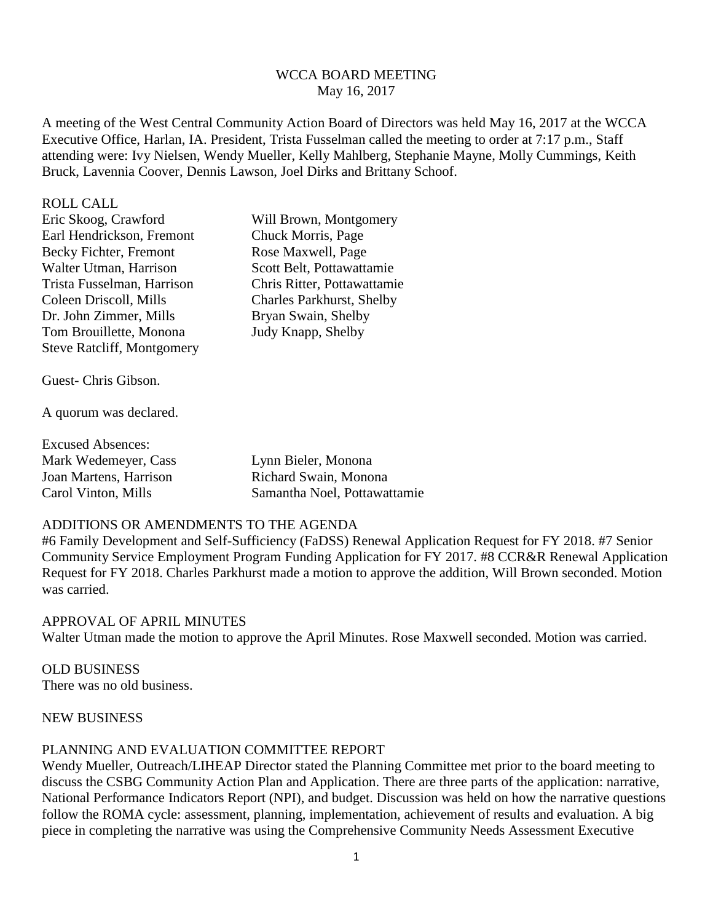## WCCA BOARD MEETING May 16, 2017

A meeting of the West Central Community Action Board of Directors was held May 16, 2017 at the WCCA Executive Office, Harlan, IA. President, Trista Fusselman called the meeting to order at 7:17 p.m., Staff attending were: Ivy Nielsen, Wendy Mueller, Kelly Mahlberg, Stephanie Mayne, Molly Cummings, Keith Bruck, Lavennia Coover, Dennis Lawson, Joel Dirks and Brittany Schoof.

#### ROLL CALL

| Eric Skoog, Crawford              | Will Brown, Montgomery           |
|-----------------------------------|----------------------------------|
| Earl Hendrickson, Fremont         | Chuck Morris, Page               |
| Becky Fichter, Fremont            | Rose Maxwell, Page               |
| Walter Utman, Harrison            | Scott Belt, Pottawattamie        |
| Trista Fusselman, Harrison        | Chris Ritter, Pottawattamie      |
| Coleen Driscoll, Mills            | <b>Charles Parkhurst, Shelby</b> |
| Dr. John Zimmer, Mills            | Bryan Swain, Shelby              |
| Tom Brouillette, Monona           | Judy Knapp, Shelby               |
| <b>Steve Ratcliff, Montgomery</b> |                                  |
|                                   |                                  |

Guest- Chris Gibson.

A quorum was declared.

| <b>Excused Absences:</b> |                              |
|--------------------------|------------------------------|
| Mark Wedemeyer, Cass     | Lynn Bieler, Monona          |
| Joan Martens, Harrison   | Richard Swain, Monona        |
| Carol Vinton, Mills      | Samantha Noel, Pottawattamie |

### ADDITIONS OR AMENDMENTS TO THE AGENDA

#6 Family Development and Self-Sufficiency (FaDSS) Renewal Application Request for FY 2018. #7 Senior Community Service Employment Program Funding Application for FY 2017. #8 CCR&R Renewal Application Request for FY 2018. Charles Parkhurst made a motion to approve the addition, Will Brown seconded. Motion was carried.

APPROVAL OF APRIL MINUTES Walter Utman made the motion to approve the April Minutes. Rose Maxwell seconded. Motion was carried.

OLD BUSINESS There was no old business.

## NEW BUSINESS

### PLANNING AND EVALUATION COMMITTEE REPORT

Wendy Mueller, Outreach/LIHEAP Director stated the Planning Committee met prior to the board meeting to discuss the CSBG Community Action Plan and Application. There are three parts of the application: narrative, National Performance Indicators Report (NPI), and budget. Discussion was held on how the narrative questions follow the ROMA cycle: assessment, planning, implementation, achievement of results and evaluation. A big piece in completing the narrative was using the Comprehensive Community Needs Assessment Executive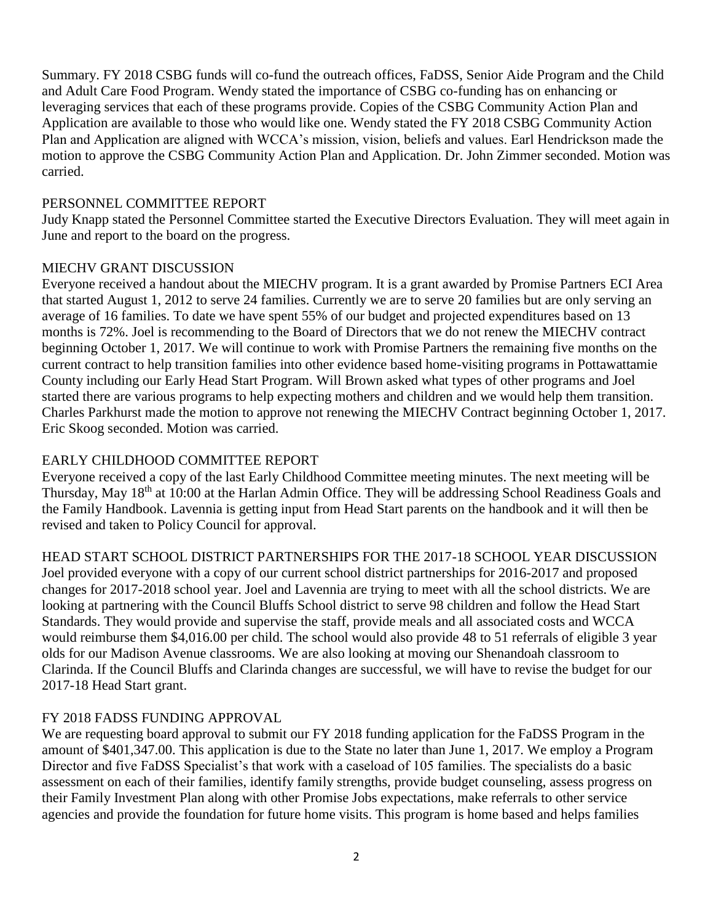Summary. FY 2018 CSBG funds will co-fund the outreach offices, FaDSS, Senior Aide Program and the Child and Adult Care Food Program. Wendy stated the importance of CSBG co-funding has on enhancing or leveraging services that each of these programs provide. Copies of the CSBG Community Action Plan and Application are available to those who would like one. Wendy stated the FY 2018 CSBG Community Action Plan and Application are aligned with WCCA's mission, vision, beliefs and values. Earl Hendrickson made the motion to approve the CSBG Community Action Plan and Application. Dr. John Zimmer seconded. Motion was carried.

# PERSONNEL COMMITTEE REPORT

Judy Knapp stated the Personnel Committee started the Executive Directors Evaluation. They will meet again in June and report to the board on the progress.

## MIECHV GRANT DISCUSSION

Everyone received a handout about the MIECHV program. It is a grant awarded by Promise Partners ECI Area that started August 1, 2012 to serve 24 families. Currently we are to serve 20 families but are only serving an average of 16 families. To date we have spent 55% of our budget and projected expenditures based on 13 months is 72%. Joel is recommending to the Board of Directors that we do not renew the MIECHV contract beginning October 1, 2017. We will continue to work with Promise Partners the remaining five months on the current contract to help transition families into other evidence based home-visiting programs in Pottawattamie County including our Early Head Start Program. Will Brown asked what types of other programs and Joel started there are various programs to help expecting mothers and children and we would help them transition. Charles Parkhurst made the motion to approve not renewing the MIECHV Contract beginning October 1, 2017. Eric Skoog seconded. Motion was carried.

# EARLY CHILDHOOD COMMITTEE REPORT

Everyone received a copy of the last Early Childhood Committee meeting minutes. The next meeting will be Thursday, May 18th at 10:00 at the Harlan Admin Office. They will be addressing School Readiness Goals and the Family Handbook. Lavennia is getting input from Head Start parents on the handbook and it will then be revised and taken to Policy Council for approval.

HEAD START SCHOOL DISTRICT PARTNERSHIPS FOR THE 2017-18 SCHOOL YEAR DISCUSSION Joel provided everyone with a copy of our current school district partnerships for 2016-2017 and proposed changes for 2017-2018 school year. Joel and Lavennia are trying to meet with all the school districts. We are looking at partnering with the Council Bluffs School district to serve 98 children and follow the Head Start Standards. They would provide and supervise the staff, provide meals and all associated costs and WCCA would reimburse them \$4,016.00 per child. The school would also provide 48 to 51 referrals of eligible 3 year olds for our Madison Avenue classrooms. We are also looking at moving our Shenandoah classroom to Clarinda. If the Council Bluffs and Clarinda changes are successful, we will have to revise the budget for our 2017-18 Head Start grant.

# FY 2018 FADSS FUNDING APPROVAL

We are requesting board approval to submit our FY 2018 funding application for the FaDSS Program in the amount of \$401,347.00. This application is due to the State no later than June 1, 2017. We employ a Program Director and five FaDSS Specialist's that work with a caseload of 105 families. The specialists do a basic assessment on each of their families, identify family strengths, provide budget counseling, assess progress on their Family Investment Plan along with other Promise Jobs expectations, make referrals to other service agencies and provide the foundation for future home visits. This program is home based and helps families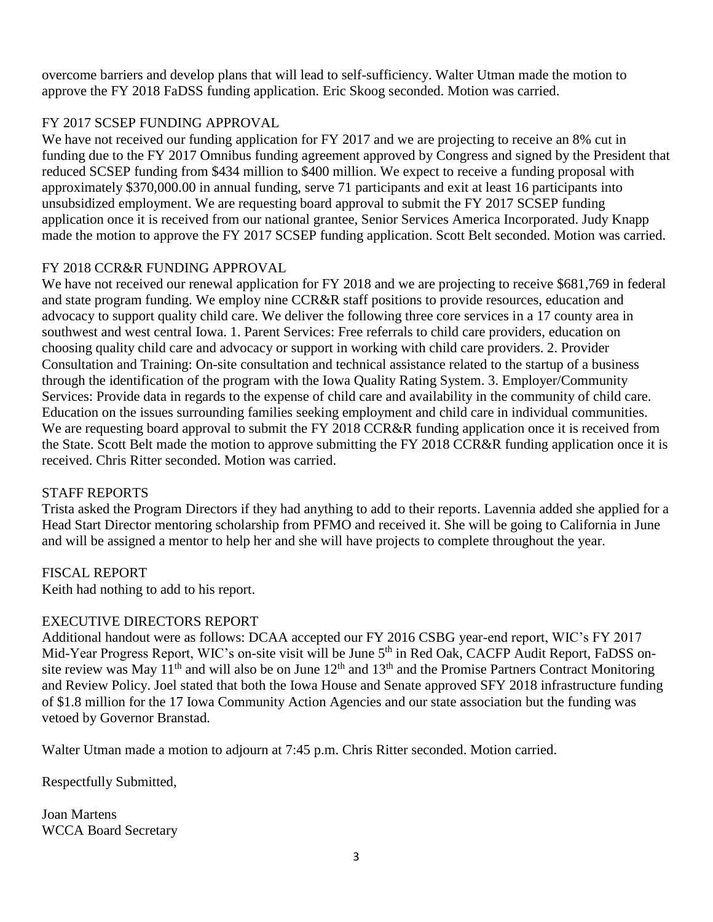overcome barriers and develop plans that will lead to self-sufficiency. Walter Utman made the motion to approve the FY 2018 FaDSS funding application. Eric Skoog seconded. Motion was carried.

# FY 2017 SCSEP FUNDING APPROVAL

We have not received our funding application for FY 2017 and we are projecting to receive an 8% cut in funding due to the FY 2017 Omnibus funding agreement approved by Congress and signed by the President that reduced SCSEP funding from \$434 million to \$400 million. We expect to receive a funding proposal with approximately \$370,000.00 in annual funding, serve 71 participants and exit at least 16 participants into unsubsidized employment. We are requesting board approval to submit the FY 2017 SCSEP funding application once it is received from our national grantee, Senior Services America Incorporated. Judy Knapp made the motion to approve the FY 2017 SCSEP funding application. Scott Belt seconded. Motion was carried.

# FY 2018 CCR&R FUNDING APPROVAL

We have not received our renewal application for FY 2018 and we are projecting to receive \$681,769 in federal and state program funding. We employ nine CCR&R staff positions to provide resources, education and advocacy to support quality child care. We deliver the following three core services in a 17 county area in southwest and west central Iowa. 1. Parent Services: Free referrals to child care providers, education on choosing quality child care and advocacy or support in working with child care providers. 2. Provider Consultation and Training: On-site consultation and technical assistance related to the startup of a business through the identification of the program with the Iowa Quality Rating System. 3. Employer/Community Services: Provide data in regards to the expense of child care and availability in the community of child care. Education on the issues surrounding families seeking employment and child care in individual communities. We are requesting board approval to submit the FY 2018 CCR&R funding application once it is received from the State. Scott Belt made the motion to approve submitting the FY 2018 CCR&R funding application once it is received. Chris Ritter seconded. Motion was carried.

# STAFF REPORTS

Trista asked the Program Directors if they had anything to add to their reports. Lavennia added she applied for a Head Start Director mentoring scholarship from PFMO and received it. She will be going to California in June and will be assigned a mentor to help her and she will have projects to complete throughout the year.

# FISCAL REPORT

Keith had nothing to add to his report.

# EXECUTIVE DIRECTORS REPORT

Additional handout were as follows: DCAA accepted our FY 2016 CSBG year-end report, WIC's FY 2017 Mid-Year Progress Report, WIC's on-site visit will be June 5<sup>th</sup> in Red Oak, CACFP Audit Report, FaDSS onsite review was May 11<sup>th</sup> and will also be on June  $12<sup>th</sup>$  and  $13<sup>th</sup>$  and the Promise Partners Contract Monitoring and Review Policy. Joel stated that both the Iowa House and Senate approved SFY 2018 infrastructure funding of \$1.8 million for the 17 Iowa Community Action Agencies and our state association but the funding was vetoed by Governor Branstad.

Walter Utman made a motion to adjourn at 7:45 p.m. Chris Ritter seconded. Motion carried.

Respectfully Submitted,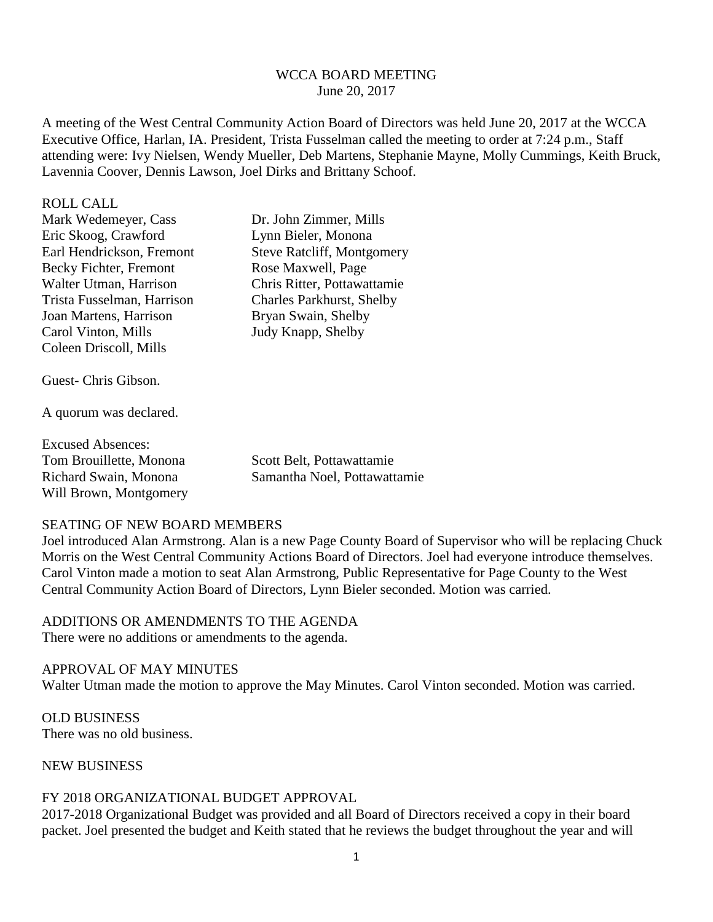### WCCA BOARD MEETING June 20, 2017

A meeting of the West Central Community Action Board of Directors was held June 20, 2017 at the WCCA Executive Office, Harlan, IA. President, Trista Fusselman called the meeting to order at 7:24 p.m., Staff attending were: Ivy Nielsen, Wendy Mueller, Deb Martens, Stephanie Mayne, Molly Cummings, Keith Bruck, Lavennia Coover, Dennis Lawson, Joel Dirks and Brittany Schoof.

#### ROLL CALL

| Mark Wedemeyer, Cass       | Dr. John Zimmer, Mills            |
|----------------------------|-----------------------------------|
| Eric Skoog, Crawford       | Lynn Bieler, Monona               |
| Earl Hendrickson, Fremont  | <b>Steve Ratcliff, Montgomery</b> |
| Becky Fichter, Fremont     | Rose Maxwell, Page                |
| Walter Utman, Harrison     | Chris Ritter, Pottawattamie       |
| Trista Fusselman, Harrison | <b>Charles Parkhurst, Shelby</b>  |
| Joan Martens, Harrison     | Bryan Swain, Shelby               |
| Carol Vinton, Mills        | Judy Knapp, Shelby                |
| Coleen Driscoll, Mills     |                                   |
|                            |                                   |

Guest- Chris Gibson.

A quorum was declared.

| <b>Excused Absences:</b> |                              |
|--------------------------|------------------------------|
| Tom Brouillette, Monona  | Scott Belt, Pottawattamie    |
| Richard Swain, Monona    | Samantha Noel, Pottawattamie |
| Will Brown, Montgomery   |                              |

### SEATING OF NEW BOARD MEMBERS

Joel introduced Alan Armstrong. Alan is a new Page County Board of Supervisor who will be replacing Chuck Morris on the West Central Community Actions Board of Directors. Joel had everyone introduce themselves. Carol Vinton made a motion to seat Alan Armstrong, Public Representative for Page County to the West Central Community Action Board of Directors, Lynn Bieler seconded. Motion was carried.

ADDITIONS OR AMENDMENTS TO THE AGENDA There were no additions or amendments to the agenda.

#### APPROVAL OF MAY MINUTES

Walter Utman made the motion to approve the May Minutes. Carol Vinton seconded. Motion was carried.

OLD BUSINESS There was no old business.

#### NEW BUSINESS

### FY 2018 ORGANIZATIONAL BUDGET APPROVAL

2017-2018 Organizational Budget was provided and all Board of Directors received a copy in their board packet. Joel presented the budget and Keith stated that he reviews the budget throughout the year and will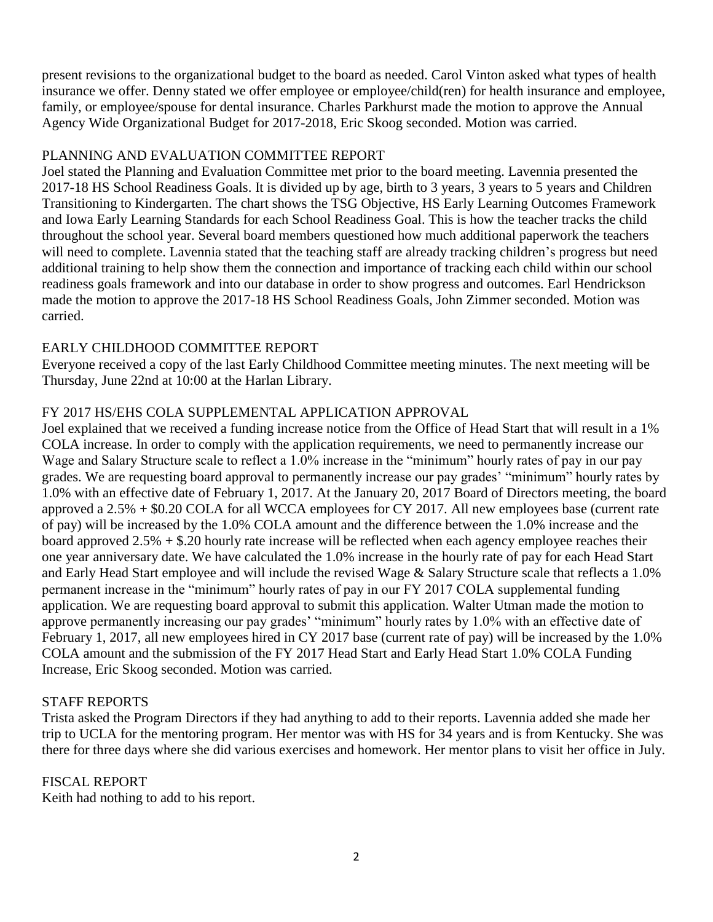present revisions to the organizational budget to the board as needed. Carol Vinton asked what types of health insurance we offer. Denny stated we offer employee or employee/child(ren) for health insurance and employee, family, or employee/spouse for dental insurance. Charles Parkhurst made the motion to approve the Annual Agency Wide Organizational Budget for 2017-2018, Eric Skoog seconded. Motion was carried.

## PLANNING AND EVALUATION COMMITTEE REPORT

Joel stated the Planning and Evaluation Committee met prior to the board meeting. Lavennia presented the 2017-18 HS School Readiness Goals. It is divided up by age, birth to 3 years, 3 years to 5 years and Children Transitioning to Kindergarten. The chart shows the TSG Objective, HS Early Learning Outcomes Framework and Iowa Early Learning Standards for each School Readiness Goal. This is how the teacher tracks the child throughout the school year. Several board members questioned how much additional paperwork the teachers will need to complete. Lavennia stated that the teaching staff are already tracking children's progress but need additional training to help show them the connection and importance of tracking each child within our school readiness goals framework and into our database in order to show progress and outcomes. Earl Hendrickson made the motion to approve the 2017-18 HS School Readiness Goals, John Zimmer seconded. Motion was carried.

## EARLY CHILDHOOD COMMITTEE REPORT

Everyone received a copy of the last Early Childhood Committee meeting minutes. The next meeting will be Thursday, June 22nd at 10:00 at the Harlan Library.

# FY 2017 HS/EHS COLA SUPPLEMENTAL APPLICATION APPROVAL

Joel explained that we received a funding increase notice from the Office of Head Start that will result in a 1% COLA increase. In order to comply with the application requirements, we need to permanently increase our Wage and Salary Structure scale to reflect a 1.0% increase in the "minimum" hourly rates of pay in our pay grades. We are requesting board approval to permanently increase our pay grades' "minimum" hourly rates by 1.0% with an effective date of February 1, 2017. At the January 20, 2017 Board of Directors meeting, the board approved a 2.5% + \$0.20 COLA for all WCCA employees for CY 2017. All new employees base (current rate of pay) will be increased by the 1.0% COLA amount and the difference between the 1.0% increase and the board approved  $2.5% + $.20$  hourly rate increase will be reflected when each agency employee reaches their one year anniversary date. We have calculated the 1.0% increase in the hourly rate of pay for each Head Start and Early Head Start employee and will include the revised Wage & Salary Structure scale that reflects a 1.0% permanent increase in the "minimum" hourly rates of pay in our FY 2017 COLA supplemental funding application. We are requesting board approval to submit this application. Walter Utman made the motion to approve permanently increasing our pay grades' "minimum" hourly rates by 1.0% with an effective date of February 1, 2017, all new employees hired in CY 2017 base (current rate of pay) will be increased by the 1.0% COLA amount and the submission of the FY 2017 Head Start and Early Head Start 1.0% COLA Funding Increase, Eric Skoog seconded. Motion was carried.

# STAFF REPORTS

Trista asked the Program Directors if they had anything to add to their reports. Lavennia added she made her trip to UCLA for the mentoring program. Her mentor was with HS for 34 years and is from Kentucky. She was there for three days where she did various exercises and homework. Her mentor plans to visit her office in July.

# FISCAL REPORT

Keith had nothing to add to his report.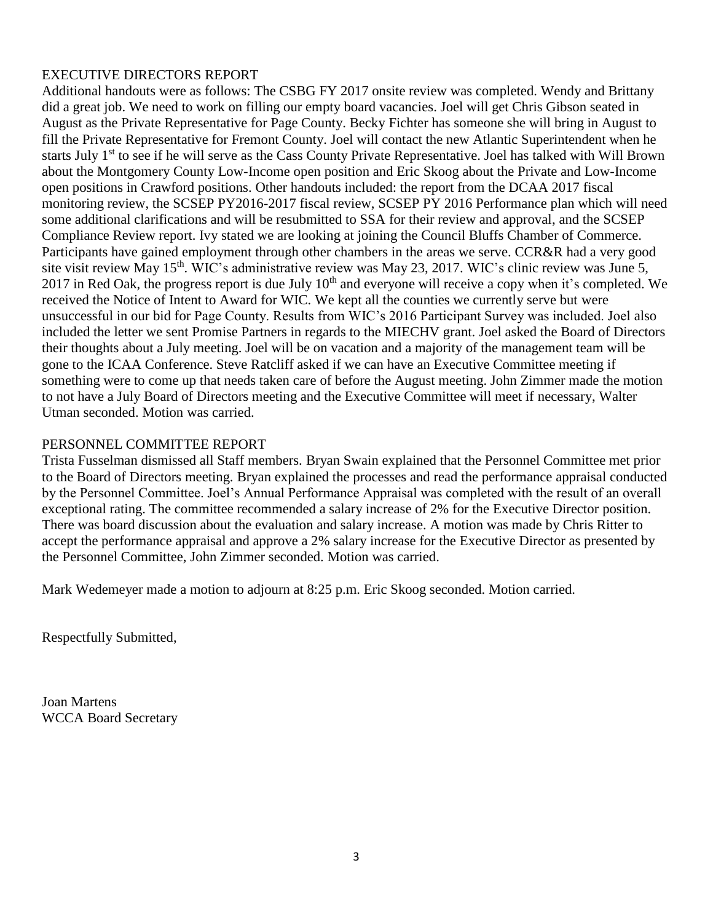# EXECUTIVE DIRECTORS REPORT

Additional handouts were as follows: The CSBG FY 2017 onsite review was completed. Wendy and Brittany did a great job. We need to work on filling our empty board vacancies. Joel will get Chris Gibson seated in August as the Private Representative for Page County. Becky Fichter has someone she will bring in August to fill the Private Representative for Fremont County. Joel will contact the new Atlantic Superintendent when he starts July 1<sup>st</sup> to see if he will serve as the Cass County Private Representative. Joel has talked with Will Brown about the Montgomery County Low-Income open position and Eric Skoog about the Private and Low-Income open positions in Crawford positions. Other handouts included: the report from the DCAA 2017 fiscal monitoring review, the SCSEP PY2016-2017 fiscal review, SCSEP PY 2016 Performance plan which will need some additional clarifications and will be resubmitted to SSA for their review and approval, and the SCSEP Compliance Review report. Ivy stated we are looking at joining the Council Bluffs Chamber of Commerce. Participants have gained employment through other chambers in the areas we serve. CCR&R had a very good site visit review May 15<sup>th</sup>. WIC's administrative review was May 23, 2017. WIC's clinic review was June 5, 2017 in Red Oak, the progress report is due July  $10<sup>th</sup>$  and everyone will receive a copy when it's completed. We received the Notice of Intent to Award for WIC. We kept all the counties we currently serve but were unsuccessful in our bid for Page County. Results from WIC's 2016 Participant Survey was included. Joel also included the letter we sent Promise Partners in regards to the MIECHV grant. Joel asked the Board of Directors their thoughts about a July meeting. Joel will be on vacation and a majority of the management team will be gone to the ICAA Conference. Steve Ratcliff asked if we can have an Executive Committee meeting if something were to come up that needs taken care of before the August meeting. John Zimmer made the motion to not have a July Board of Directors meeting and the Executive Committee will meet if necessary, Walter Utman seconded. Motion was carried.

## PERSONNEL COMMITTEE REPORT

Trista Fusselman dismissed all Staff members. Bryan Swain explained that the Personnel Committee met prior to the Board of Directors meeting. Bryan explained the processes and read the performance appraisal conducted by the Personnel Committee. Joel's Annual Performance Appraisal was completed with the result of an overall exceptional rating. The committee recommended a salary increase of 2% for the Executive Director position. There was board discussion about the evaluation and salary increase. A motion was made by Chris Ritter to accept the performance appraisal and approve a 2% salary increase for the Executive Director as presented by the Personnel Committee, John Zimmer seconded. Motion was carried.

Mark Wedemeyer made a motion to adjourn at 8:25 p.m. Eric Skoog seconded. Motion carried.

Respectfully Submitted,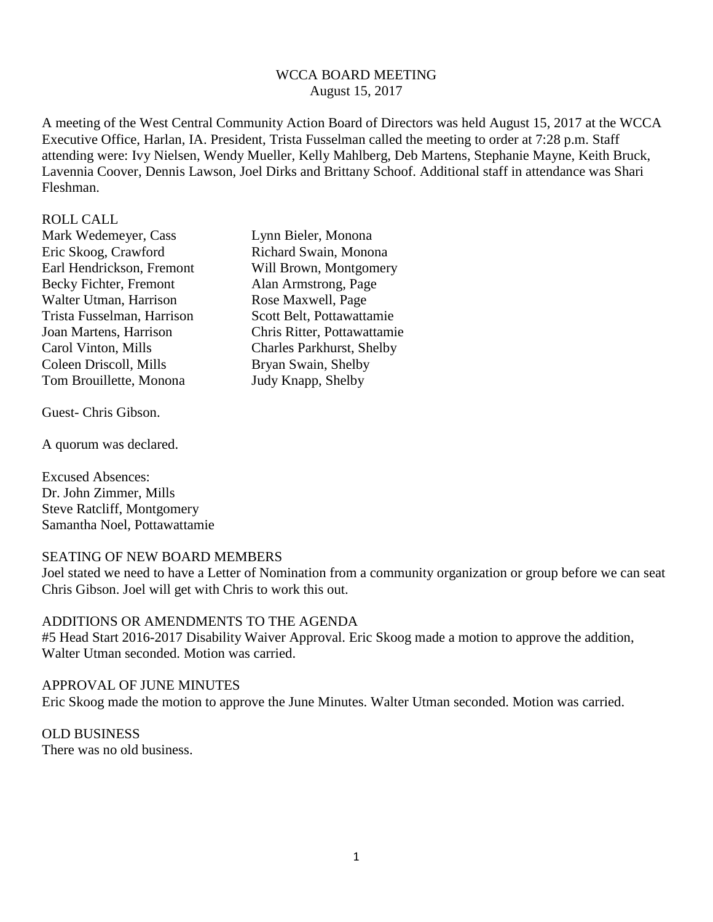## WCCA BOARD MEETING August 15, 2017

A meeting of the West Central Community Action Board of Directors was held August 15, 2017 at the WCCA Executive Office, Harlan, IA. President, Trista Fusselman called the meeting to order at 7:28 p.m. Staff attending were: Ivy Nielsen, Wendy Mueller, Kelly Mahlberg, Deb Martens, Stephanie Mayne, Keith Bruck, Lavennia Coover, Dennis Lawson, Joel Dirks and Brittany Schoof. Additional staff in attendance was Shari Fleshman.

#### ROLL CALL

Mark Wedemeyer, Cass Lynn Bieler, Monona Eric Skoog, Crawford Richard Swain, Monona Earl Hendrickson, Fremont Will Brown, Montgomery Becky Fichter, Fremont Alan Armstrong, Page Walter Utman, Harrison Rose Maxwell, Page Trista Fusselman, Harrison Scott Belt, Pottawattamie Carol Vinton, Mills Charles Parkhurst, Shelby Coleen Driscoll, Mills Bryan Swain, Shelby Tom Brouillette, Monona Judy Knapp, Shelby

Guest- Chris Gibson.

A quorum was declared.

Excused Absences: Dr. John Zimmer, Mills Steve Ratcliff, Montgomery Samantha Noel, Pottawattamie

## SEATING OF NEW BOARD MEMBERS

Joel stated we need to have a Letter of Nomination from a community organization or group before we can seat Chris Gibson. Joel will get with Chris to work this out.

### ADDITIONS OR AMENDMENTS TO THE AGENDA

#5 Head Start 2016-2017 Disability Waiver Approval. Eric Skoog made a motion to approve the addition, Walter Utman seconded. Motion was carried.

#### APPROVAL OF JUNE MINUTES

Eric Skoog made the motion to approve the June Minutes. Walter Utman seconded. Motion was carried.

## OLD BUSINESS There was no old business.

Joan Martens, Harrison Chris Ritter, Pottawattamie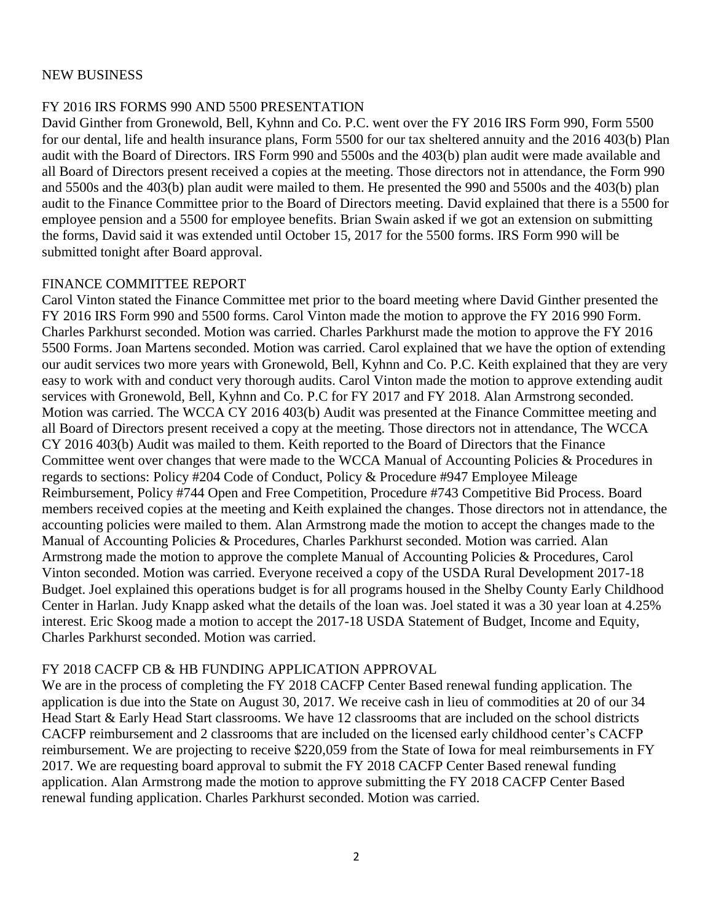## NEW BUSINESS

### FY 2016 IRS FORMS 990 AND 5500 PRESENTATION

David Ginther from Gronewold, Bell, Kyhnn and Co. P.C. went over the FY 2016 IRS Form 990, Form 5500 for our dental, life and health insurance plans, Form 5500 for our tax sheltered annuity and the 2016 403(b) Plan audit with the Board of Directors. IRS Form 990 and 5500s and the 403(b) plan audit were made available and all Board of Directors present received a copies at the meeting. Those directors not in attendance, the Form 990 and 5500s and the 403(b) plan audit were mailed to them. He presented the 990 and 5500s and the 403(b) plan audit to the Finance Committee prior to the Board of Directors meeting. David explained that there is a 5500 for employee pension and a 5500 for employee benefits. Brian Swain asked if we got an extension on submitting the forms, David said it was extended until October 15, 2017 for the 5500 forms. IRS Form 990 will be submitted tonight after Board approval.

### FINANCE COMMITTEE REPORT

Carol Vinton stated the Finance Committee met prior to the board meeting where David Ginther presented the FY 2016 IRS Form 990 and 5500 forms. Carol Vinton made the motion to approve the FY 2016 990 Form. Charles Parkhurst seconded. Motion was carried. Charles Parkhurst made the motion to approve the FY 2016 5500 Forms. Joan Martens seconded. Motion was carried. Carol explained that we have the option of extending our audit services two more years with Gronewold, Bell, Kyhnn and Co. P.C. Keith explained that they are very easy to work with and conduct very thorough audits. Carol Vinton made the motion to approve extending audit services with Gronewold, Bell, Kyhnn and Co. P.C for FY 2017 and FY 2018. Alan Armstrong seconded. Motion was carried. The WCCA CY 2016 403(b) Audit was presented at the Finance Committee meeting and all Board of Directors present received a copy at the meeting. Those directors not in attendance, The WCCA CY 2016 403(b) Audit was mailed to them. Keith reported to the Board of Directors that the Finance Committee went over changes that were made to the WCCA Manual of Accounting Policies & Procedures in regards to sections: Policy #204 Code of Conduct, Policy & Procedure #947 Employee Mileage Reimbursement, Policy #744 Open and Free Competition, Procedure #743 Competitive Bid Process. Board members received copies at the meeting and Keith explained the changes. Those directors not in attendance, the accounting policies were mailed to them. Alan Armstrong made the motion to accept the changes made to the Manual of Accounting Policies & Procedures, Charles Parkhurst seconded. Motion was carried. Alan Armstrong made the motion to approve the complete Manual of Accounting Policies & Procedures, Carol Vinton seconded. Motion was carried. Everyone received a copy of the USDA Rural Development 2017-18 Budget. Joel explained this operations budget is for all programs housed in the Shelby County Early Childhood Center in Harlan. Judy Knapp asked what the details of the loan was. Joel stated it was a 30 year loan at 4.25% interest. Eric Skoog made a motion to accept the 2017-18 USDA Statement of Budget, Income and Equity, Charles Parkhurst seconded. Motion was carried.

## FY 2018 CACFP CB & HB FUNDING APPLICATION APPROVAL

We are in the process of completing the FY 2018 CACFP Center Based renewal funding application. The application is due into the State on August 30, 2017. We receive cash in lieu of commodities at 20 of our 34 Head Start & Early Head Start classrooms. We have 12 classrooms that are included on the school districts CACFP reimbursement and 2 classrooms that are included on the licensed early childhood center's CACFP reimbursement. We are projecting to receive \$220,059 from the State of Iowa for meal reimbursements in FY 2017. We are requesting board approval to submit the FY 2018 CACFP Center Based renewal funding application. Alan Armstrong made the motion to approve submitting the FY 2018 CACFP Center Based renewal funding application. Charles Parkhurst seconded. Motion was carried.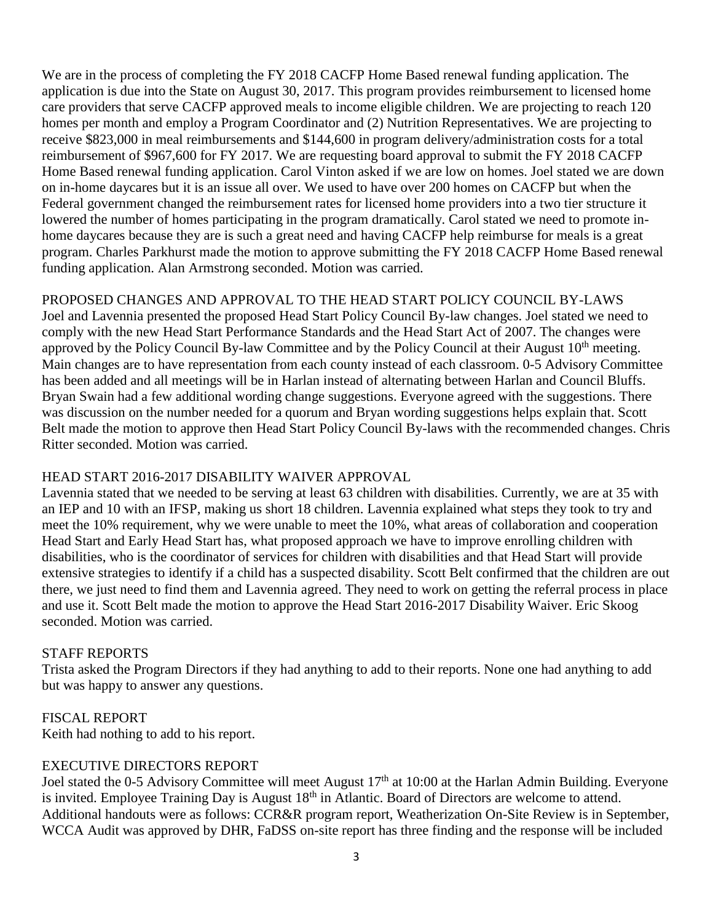We are in the process of completing the FY 2018 CACFP Home Based renewal funding application. The application is due into the State on August 30, 2017. This program provides reimbursement to licensed home care providers that serve CACFP approved meals to income eligible children. We are projecting to reach 120 homes per month and employ a Program Coordinator and (2) Nutrition Representatives. We are projecting to receive \$823,000 in meal reimbursements and \$144,600 in program delivery/administration costs for a total reimbursement of \$967,600 for FY 2017. We are requesting board approval to submit the FY 2018 CACFP Home Based renewal funding application. Carol Vinton asked if we are low on homes. Joel stated we are down on in-home daycares but it is an issue all over. We used to have over 200 homes on CACFP but when the Federal government changed the reimbursement rates for licensed home providers into a two tier structure it lowered the number of homes participating in the program dramatically. Carol stated we need to promote inhome daycares because they are is such a great need and having CACFP help reimburse for meals is a great program. Charles Parkhurst made the motion to approve submitting the FY 2018 CACFP Home Based renewal funding application. Alan Armstrong seconded. Motion was carried.

PROPOSED CHANGES AND APPROVAL TO THE HEAD START POLICY COUNCIL BY-LAWS Joel and Lavennia presented the proposed Head Start Policy Council By-law changes. Joel stated we need to comply with the new Head Start Performance Standards and the Head Start Act of 2007. The changes were approved by the Policy Council By-law Committee and by the Policy Council at their August 10<sup>th</sup> meeting. Main changes are to have representation from each county instead of each classroom. 0-5 Advisory Committee has been added and all meetings will be in Harlan instead of alternating between Harlan and Council Bluffs. Bryan Swain had a few additional wording change suggestions. Everyone agreed with the suggestions. There was discussion on the number needed for a quorum and Bryan wording suggestions helps explain that. Scott Belt made the motion to approve then Head Start Policy Council By-laws with the recommended changes. Chris Ritter seconded. Motion was carried.

# HEAD START 2016-2017 DISABILITY WAIVER APPROVAL

Lavennia stated that we needed to be serving at least 63 children with disabilities. Currently, we are at 35 with an IEP and 10 with an IFSP, making us short 18 children. Lavennia explained what steps they took to try and meet the 10% requirement, why we were unable to meet the 10%, what areas of collaboration and cooperation Head Start and Early Head Start has, what proposed approach we have to improve enrolling children with disabilities, who is the coordinator of services for children with disabilities and that Head Start will provide extensive strategies to identify if a child has a suspected disability. Scott Belt confirmed that the children are out there, we just need to find them and Lavennia agreed. They need to work on getting the referral process in place and use it. Scott Belt made the motion to approve the Head Start 2016-2017 Disability Waiver. Eric Skoog seconded. Motion was carried.

## STAFF REPORTS

Trista asked the Program Directors if they had anything to add to their reports. None one had anything to add but was happy to answer any questions.

# FISCAL REPORT

Keith had nothing to add to his report.

## EXECUTIVE DIRECTORS REPORT

Joel stated the 0-5 Advisory Committee will meet August 17<sup>th</sup> at 10:00 at the Harlan Admin Building. Everyone is invited. Employee Training Day is August 18<sup>th</sup> in Atlantic. Board of Directors are welcome to attend. Additional handouts were as follows: CCR&R program report, Weatherization On-Site Review is in September, WCCA Audit was approved by DHR, FaDSS on-site report has three finding and the response will be included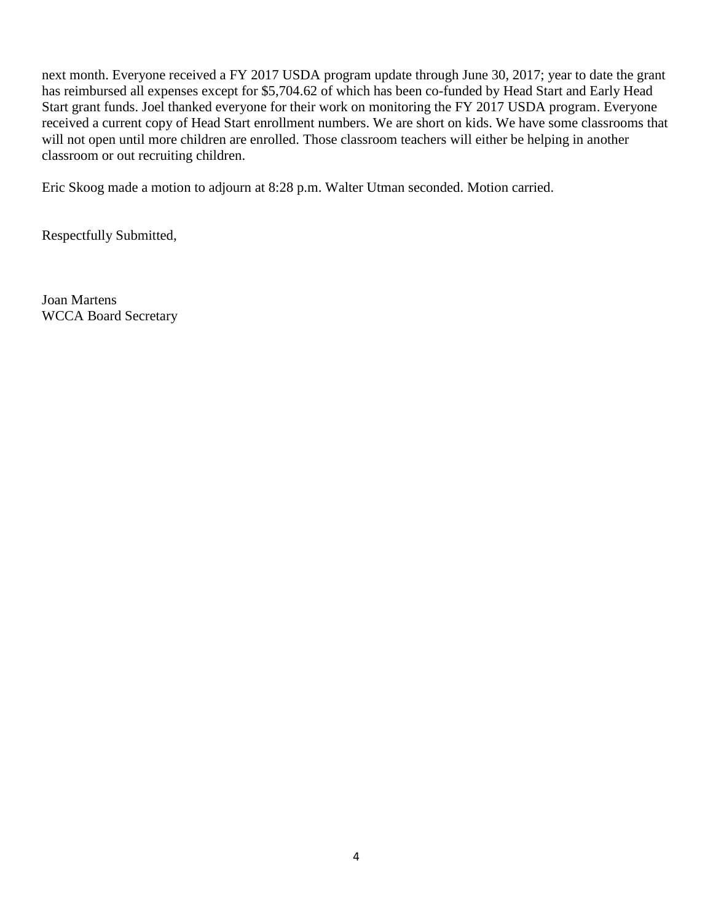next month. Everyone received a FY 2017 USDA program update through June 30, 2017; year to date the grant has reimbursed all expenses except for \$5,704.62 of which has been co-funded by Head Start and Early Head Start grant funds. Joel thanked everyone for their work on monitoring the FY 2017 USDA program. Everyone received a current copy of Head Start enrollment numbers. We are short on kids. We have some classrooms that will not open until more children are enrolled. Those classroom teachers will either be helping in another classroom or out recruiting children.

Eric Skoog made a motion to adjourn at 8:28 p.m. Walter Utman seconded. Motion carried.

Respectfully Submitted,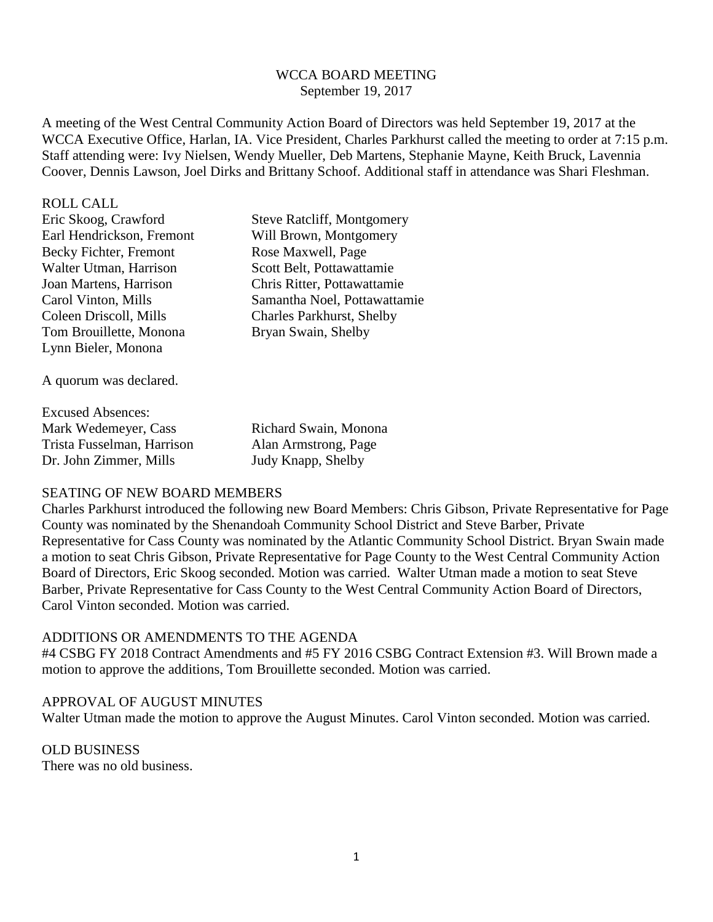## WCCA BOARD MEETING September 19, 2017

A meeting of the West Central Community Action Board of Directors was held September 19, 2017 at the WCCA Executive Office, Harlan, IA. Vice President, Charles Parkhurst called the meeting to order at 7:15 p.m. Staff attending were: Ivy Nielsen, Wendy Mueller, Deb Martens, Stephanie Mayne, Keith Bruck, Lavennia Coover, Dennis Lawson, Joel Dirks and Brittany Schoof. Additional staff in attendance was Shari Fleshman.

#### ROLL CALL

| <b>Steve Ratcliff, Montgomery</b> |
|-----------------------------------|
| Will Brown, Montgomery            |
| Rose Maxwell, Page                |
| Scott Belt, Pottawattamie         |
| Chris Ritter, Pottawattamie       |
| Samantha Noel, Pottawattamie      |
| <b>Charles Parkhurst, Shelby</b>  |
| Bryan Swain, Shelby               |
|                                   |
|                                   |
|                                   |

A quorum was declared.

| Richard Swain, Monona |
|-----------------------|
| Alan Armstrong, Page  |
| Judy Knapp, Shelby    |
|                       |

### SEATING OF NEW BOARD MEMBERS

Charles Parkhurst introduced the following new Board Members: Chris Gibson, Private Representative for Page County was nominated by the Shenandoah Community School District and Steve Barber, Private Representative for Cass County was nominated by the Atlantic Community School District. Bryan Swain made a motion to seat Chris Gibson, Private Representative for Page County to the West Central Community Action Board of Directors, Eric Skoog seconded. Motion was carried. Walter Utman made a motion to seat Steve Barber, Private Representative for Cass County to the West Central Community Action Board of Directors, Carol Vinton seconded. Motion was carried.

## ADDITIONS OR AMENDMENTS TO THE AGENDA

#4 CSBG FY 2018 Contract Amendments and #5 FY 2016 CSBG Contract Extension #3. Will Brown made a motion to approve the additions, Tom Brouillette seconded. Motion was carried.

#### APPROVAL OF AUGUST MINUTES

Walter Utman made the motion to approve the August Minutes. Carol Vinton seconded. Motion was carried.

### OLD BUSINESS There was no old business.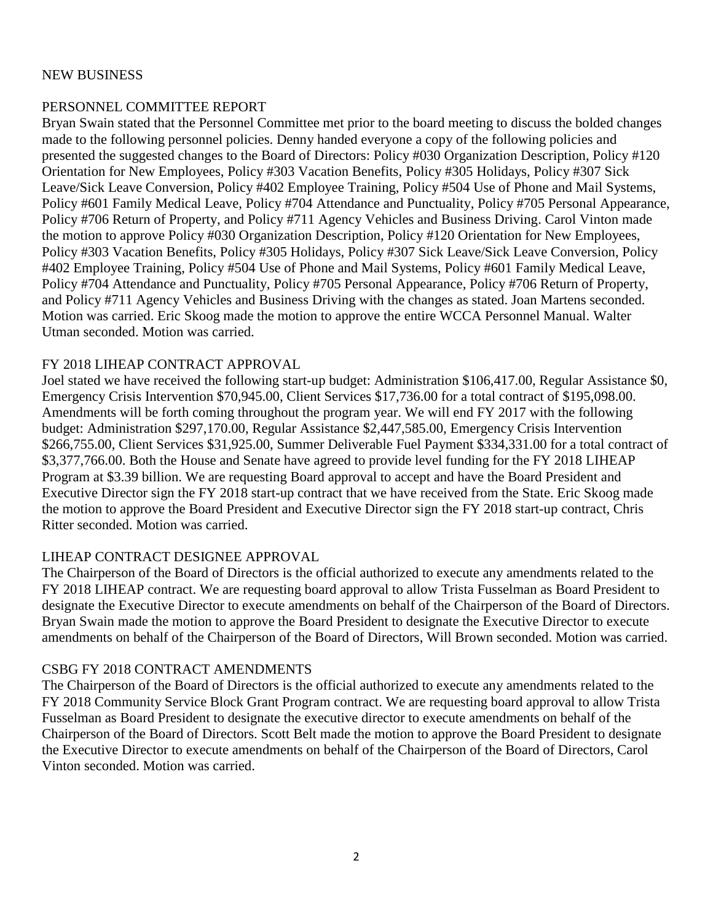## NEW BUSINESS

# PERSONNEL COMMITTEE REPORT

Bryan Swain stated that the Personnel Committee met prior to the board meeting to discuss the bolded changes made to the following personnel policies. Denny handed everyone a copy of the following policies and presented the suggested changes to the Board of Directors: Policy #030 Organization Description, Policy #120 Orientation for New Employees, Policy #303 Vacation Benefits, Policy #305 Holidays, Policy #307 Sick Leave/Sick Leave Conversion, Policy #402 Employee Training, Policy #504 Use of Phone and Mail Systems, Policy #601 Family Medical Leave, Policy #704 Attendance and Punctuality, Policy #705 Personal Appearance, Policy #706 Return of Property, and Policy #711 Agency Vehicles and Business Driving. Carol Vinton made the motion to approve Policy #030 Organization Description, Policy #120 Orientation for New Employees, Policy #303 Vacation Benefits, Policy #305 Holidays, Policy #307 Sick Leave/Sick Leave Conversion, Policy #402 Employee Training, Policy #504 Use of Phone and Mail Systems, Policy #601 Family Medical Leave, Policy #704 Attendance and Punctuality, Policy #705 Personal Appearance, Policy #706 Return of Property, and Policy #711 Agency Vehicles and Business Driving with the changes as stated. Joan Martens seconded. Motion was carried. Eric Skoog made the motion to approve the entire WCCA Personnel Manual. Walter Utman seconded. Motion was carried.

## FY 2018 LIHEAP CONTRACT APPROVAL

Joel stated we have received the following start-up budget: Administration \$106,417.00, Regular Assistance \$0, Emergency Crisis Intervention \$70,945.00, Client Services \$17,736.00 for a total contract of \$195,098.00. Amendments will be forth coming throughout the program year. We will end FY 2017 with the following budget: Administration \$297,170.00, Regular Assistance \$2,447,585.00, Emergency Crisis Intervention \$266,755.00, Client Services \$31,925.00, Summer Deliverable Fuel Payment \$334,331.00 for a total contract of \$3,377,766.00. Both the House and Senate have agreed to provide level funding for the FY 2018 LIHEAP Program at \$3.39 billion. We are requesting Board approval to accept and have the Board President and Executive Director sign the FY 2018 start-up contract that we have received from the State. Eric Skoog made the motion to approve the Board President and Executive Director sign the FY 2018 start-up contract, Chris Ritter seconded. Motion was carried.

# LIHEAP CONTRACT DESIGNEE APPROVAL

The Chairperson of the Board of Directors is the official authorized to execute any amendments related to the FY 2018 LIHEAP contract. We are requesting board approval to allow Trista Fusselman as Board President to designate the Executive Director to execute amendments on behalf of the Chairperson of the Board of Directors. Bryan Swain made the motion to approve the Board President to designate the Executive Director to execute amendments on behalf of the Chairperson of the Board of Directors, Will Brown seconded. Motion was carried.

## CSBG FY 2018 CONTRACT AMENDMENTS

The Chairperson of the Board of Directors is the official authorized to execute any amendments related to the FY 2018 Community Service Block Grant Program contract. We are requesting board approval to allow Trista Fusselman as Board President to designate the executive director to execute amendments on behalf of the Chairperson of the Board of Directors. Scott Belt made the motion to approve the Board President to designate the Executive Director to execute amendments on behalf of the Chairperson of the Board of Directors, Carol Vinton seconded. Motion was carried.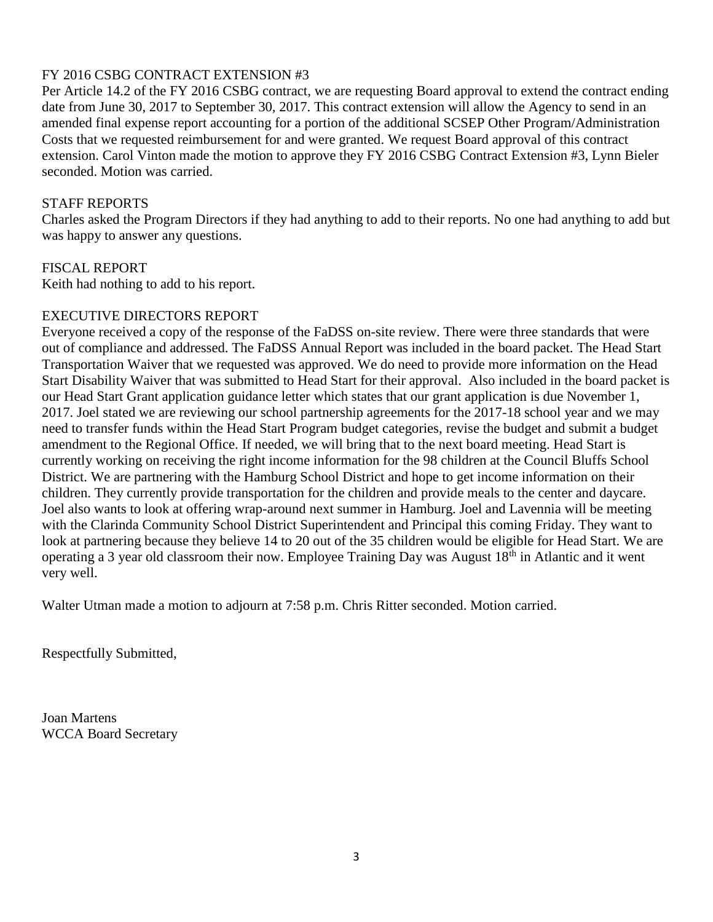# FY 2016 CSBG CONTRACT EXTENSION #3

Per Article 14.2 of the FY 2016 CSBG contract, we are requesting Board approval to extend the contract ending date from June 30, 2017 to September 30, 2017. This contract extension will allow the Agency to send in an amended final expense report accounting for a portion of the additional SCSEP Other Program/Administration Costs that we requested reimbursement for and were granted. We request Board approval of this contract extension. Carol Vinton made the motion to approve they FY 2016 CSBG Contract Extension #3, Lynn Bieler seconded. Motion was carried.

## STAFF REPORTS

Charles asked the Program Directors if they had anything to add to their reports. No one had anything to add but was happy to answer any questions.

## FISCAL REPORT

Keith had nothing to add to his report.

## EXECUTIVE DIRECTORS REPORT

Everyone received a copy of the response of the FaDSS on-site review. There were three standards that were out of compliance and addressed. The FaDSS Annual Report was included in the board packet. The Head Start Transportation Waiver that we requested was approved. We do need to provide more information on the Head Start Disability Waiver that was submitted to Head Start for their approval. Also included in the board packet is our Head Start Grant application guidance letter which states that our grant application is due November 1, 2017. Joel stated we are reviewing our school partnership agreements for the 2017-18 school year and we may need to transfer funds within the Head Start Program budget categories, revise the budget and submit a budget amendment to the Regional Office. If needed, we will bring that to the next board meeting. Head Start is currently working on receiving the right income information for the 98 children at the Council Bluffs School District. We are partnering with the Hamburg School District and hope to get income information on their children. They currently provide transportation for the children and provide meals to the center and daycare. Joel also wants to look at offering wrap-around next summer in Hamburg. Joel and Lavennia will be meeting with the Clarinda Community School District Superintendent and Principal this coming Friday. They want to look at partnering because they believe 14 to 20 out of the 35 children would be eligible for Head Start. We are operating a 3 year old classroom their now. Employee Training Day was August 18th in Atlantic and it went very well.

Walter Utman made a motion to adjourn at 7:58 p.m. Chris Ritter seconded. Motion carried.

Respectfully Submitted,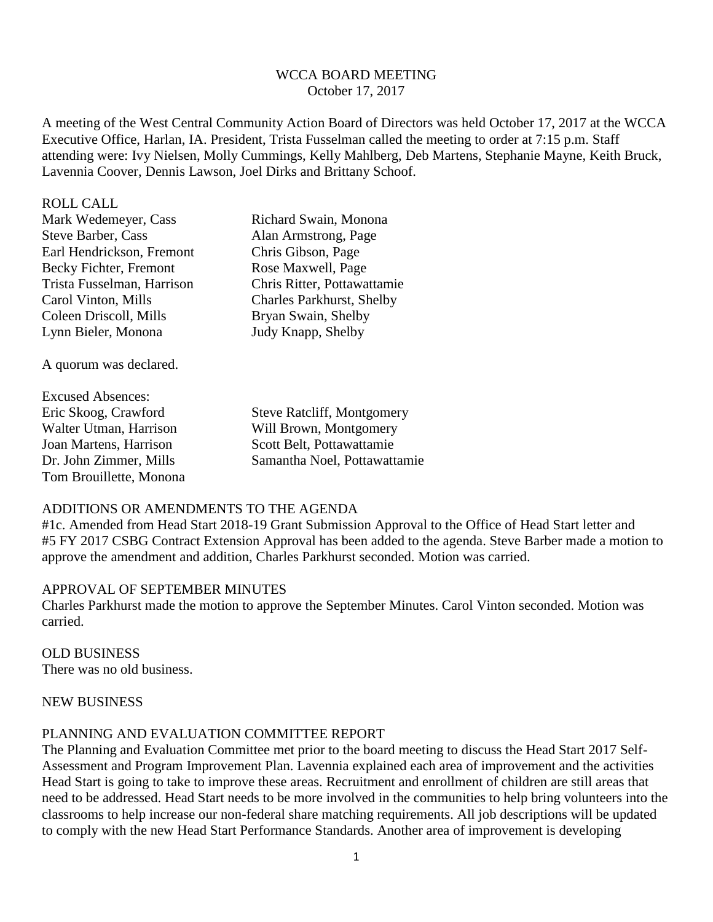## WCCA BOARD MEETING October 17, 2017

A meeting of the West Central Community Action Board of Directors was held October 17, 2017 at the WCCA Executive Office, Harlan, IA. President, Trista Fusselman called the meeting to order at 7:15 p.m. Staff attending were: Ivy Nielsen, Molly Cummings, Kelly Mahlberg, Deb Martens, Stephanie Mayne, Keith Bruck, Lavennia Coover, Dennis Lawson, Joel Dirks and Brittany Schoof.

ROLL CALL

| Mark Wedemeyer, Cass       | Richard Swain, Monona            |
|----------------------------|----------------------------------|
| Steve Barber, Cass         | Alan Armstrong, Page             |
| Earl Hendrickson, Fremont  | Chris Gibson, Page               |
| Becky Fichter, Fremont     | Rose Maxwell, Page               |
| Trista Fusselman, Harrison | Chris Ritter, Pottawattamie      |
| Carol Vinton, Mills        | <b>Charles Parkhurst, Shelby</b> |
| Coleen Driscoll, Mills     | Bryan Swain, Shelby              |
| Lynn Bieler, Monona        | Judy Knapp, Shelby               |
|                            |                                  |

A quorum was declared.

Excused Absences: Joan Martens, Harrison Scott Belt, Pottawattamie Tom Brouillette, Monona

Eric Skoog, Crawford Steve Ratcliff, Montgomery Walter Utman, Harrison Will Brown, Montgomery Dr. John Zimmer, Mills Samantha Noel, Pottawattamie

# ADDITIONS OR AMENDMENTS TO THE AGENDA

#1c. Amended from Head Start 2018-19 Grant Submission Approval to the Office of Head Start letter and #5 FY 2017 CSBG Contract Extension Approval has been added to the agenda. Steve Barber made a motion to approve the amendment and addition, Charles Parkhurst seconded. Motion was carried.

## APPROVAL OF SEPTEMBER MINUTES

Charles Parkhurst made the motion to approve the September Minutes. Carol Vinton seconded. Motion was carried.

OLD BUSINESS There was no old business.

#### NEW BUSINESS

## PLANNING AND EVALUATION COMMITTEE REPORT

The Planning and Evaluation Committee met prior to the board meeting to discuss the Head Start 2017 Self-Assessment and Program Improvement Plan. Lavennia explained each area of improvement and the activities Head Start is going to take to improve these areas. Recruitment and enrollment of children are still areas that need to be addressed. Head Start needs to be more involved in the communities to help bring volunteers into the classrooms to help increase our non-federal share matching requirements. All job descriptions will be updated to comply with the new Head Start Performance Standards. Another area of improvement is developing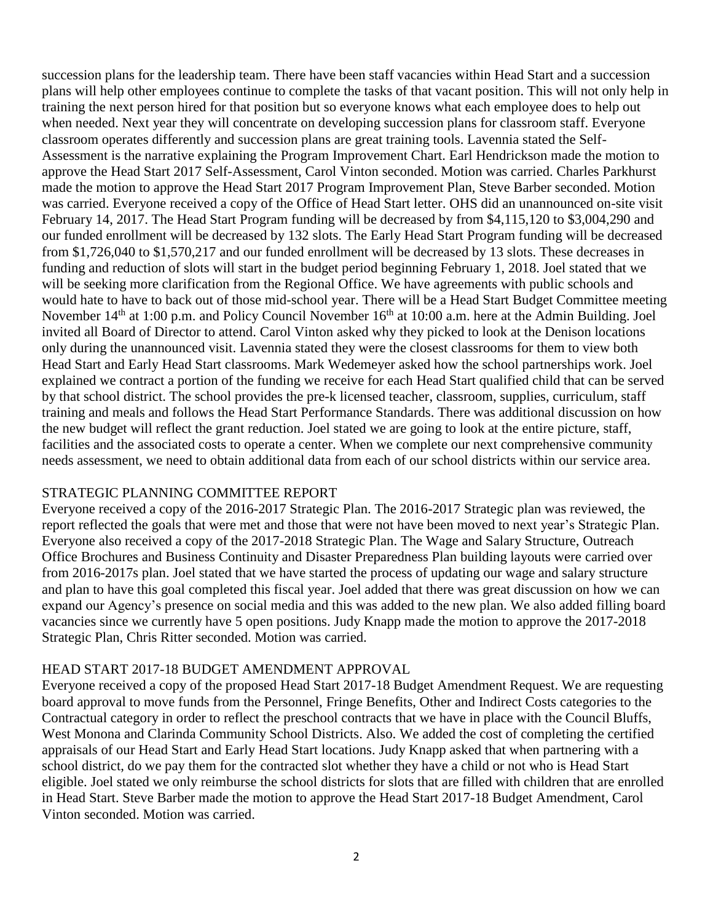succession plans for the leadership team. There have been staff vacancies within Head Start and a succession plans will help other employees continue to complete the tasks of that vacant position. This will not only help in training the next person hired for that position but so everyone knows what each employee does to help out when needed. Next year they will concentrate on developing succession plans for classroom staff. Everyone classroom operates differently and succession plans are great training tools. Lavennia stated the Self-Assessment is the narrative explaining the Program Improvement Chart. Earl Hendrickson made the motion to approve the Head Start 2017 Self-Assessment, Carol Vinton seconded. Motion was carried. Charles Parkhurst made the motion to approve the Head Start 2017 Program Improvement Plan, Steve Barber seconded. Motion was carried. Everyone received a copy of the Office of Head Start letter. OHS did an unannounced on-site visit February 14, 2017. The Head Start Program funding will be decreased by from \$4,115,120 to \$3,004,290 and our funded enrollment will be decreased by 132 slots. The Early Head Start Program funding will be decreased from \$1,726,040 to \$1,570,217 and our funded enrollment will be decreased by 13 slots. These decreases in funding and reduction of slots will start in the budget period beginning February 1, 2018. Joel stated that we will be seeking more clarification from the Regional Office. We have agreements with public schools and would hate to have to back out of those mid-school year. There will be a Head Start Budget Committee meeting November 14<sup>th</sup> at 1:00 p.m. and Policy Council November 16<sup>th</sup> at 10:00 a.m. here at the Admin Building. Joel invited all Board of Director to attend. Carol Vinton asked why they picked to look at the Denison locations only during the unannounced visit. Lavennia stated they were the closest classrooms for them to view both Head Start and Early Head Start classrooms. Mark Wedemeyer asked how the school partnerships work. Joel explained we contract a portion of the funding we receive for each Head Start qualified child that can be served by that school district. The school provides the pre-k licensed teacher, classroom, supplies, curriculum, staff training and meals and follows the Head Start Performance Standards. There was additional discussion on how the new budget will reflect the grant reduction. Joel stated we are going to look at the entire picture, staff, facilities and the associated costs to operate a center. When we complete our next comprehensive community needs assessment, we need to obtain additional data from each of our school districts within our service area.

## STRATEGIC PLANNING COMMITTEE REPORT

Everyone received a copy of the 2016-2017 Strategic Plan. The 2016-2017 Strategic plan was reviewed, the report reflected the goals that were met and those that were not have been moved to next year's Strategic Plan. Everyone also received a copy of the 2017-2018 Strategic Plan. The Wage and Salary Structure, Outreach Office Brochures and Business Continuity and Disaster Preparedness Plan building layouts were carried over from 2016-2017s plan. Joel stated that we have started the process of updating our wage and salary structure and plan to have this goal completed this fiscal year. Joel added that there was great discussion on how we can expand our Agency's presence on social media and this was added to the new plan. We also added filling board vacancies since we currently have 5 open positions. Judy Knapp made the motion to approve the 2017-2018 Strategic Plan, Chris Ritter seconded. Motion was carried.

## HEAD START 2017-18 BUDGET AMENDMENT APPROVAL

Everyone received a copy of the proposed Head Start 2017-18 Budget Amendment Request. We are requesting board approval to move funds from the Personnel, Fringe Benefits, Other and Indirect Costs categories to the Contractual category in order to reflect the preschool contracts that we have in place with the Council Bluffs, West Monona and Clarinda Community School Districts. Also. We added the cost of completing the certified appraisals of our Head Start and Early Head Start locations. Judy Knapp asked that when partnering with a school district, do we pay them for the contracted slot whether they have a child or not who is Head Start eligible. Joel stated we only reimburse the school districts for slots that are filled with children that are enrolled in Head Start. Steve Barber made the motion to approve the Head Start 2017-18 Budget Amendment, Carol Vinton seconded. Motion was carried.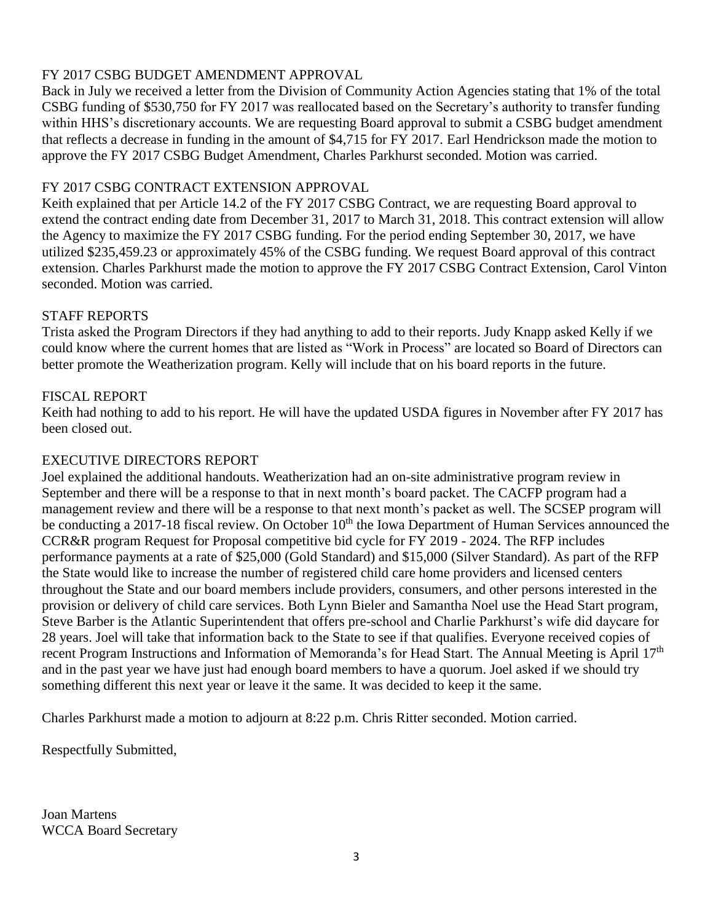# FY 2017 CSBG BUDGET AMENDMENT APPROVAL

Back in July we received a letter from the Division of Community Action Agencies stating that 1% of the total CSBG funding of \$530,750 for FY 2017 was reallocated based on the Secretary's authority to transfer funding within HHS's discretionary accounts. We are requesting Board approval to submit a CSBG budget amendment that reflects a decrease in funding in the amount of \$4,715 for FY 2017. Earl Hendrickson made the motion to approve the FY 2017 CSBG Budget Amendment, Charles Parkhurst seconded. Motion was carried.

# FY 2017 CSBG CONTRACT EXTENSION APPROVAL

Keith explained that per Article 14.2 of the FY 2017 CSBG Contract, we are requesting Board approval to extend the contract ending date from December 31, 2017 to March 31, 2018. This contract extension will allow the Agency to maximize the FY 2017 CSBG funding. For the period ending September 30, 2017, we have utilized \$235,459.23 or approximately 45% of the CSBG funding. We request Board approval of this contract extension. Charles Parkhurst made the motion to approve the FY 2017 CSBG Contract Extension, Carol Vinton seconded. Motion was carried.

## STAFF REPORTS

Trista asked the Program Directors if they had anything to add to their reports. Judy Knapp asked Kelly if we could know where the current homes that are listed as "Work in Process" are located so Board of Directors can better promote the Weatherization program. Kelly will include that on his board reports in the future.

## FISCAL REPORT

Keith had nothing to add to his report. He will have the updated USDA figures in November after FY 2017 has been closed out.

# EXECUTIVE DIRECTORS REPORT

Joel explained the additional handouts. Weatherization had an on-site administrative program review in September and there will be a response to that in next month's board packet. The CACFP program had a management review and there will be a response to that next month's packet as well. The SCSEP program will be conducting a 2017-18 fiscal review. On October 10<sup>th</sup> the Iowa Department of Human Services announced the CCR&R program Request for Proposal competitive bid cycle for FY 2019 - 2024. The RFP includes performance payments at a rate of \$25,000 (Gold Standard) and \$15,000 (Silver Standard). As part of the RFP the State would like to increase the number of registered child care home providers and licensed centers throughout the State and our board members include providers, consumers, and other persons interested in the provision or delivery of child care services. Both Lynn Bieler and Samantha Noel use the Head Start program, Steve Barber is the Atlantic Superintendent that offers pre-school and Charlie Parkhurst's wife did daycare for 28 years. Joel will take that information back to the State to see if that qualifies. Everyone received copies of recent Program Instructions and Information of Memoranda's for Head Start. The Annual Meeting is April 17<sup>th</sup> and in the past year we have just had enough board members to have a quorum. Joel asked if we should try something different this next year or leave it the same. It was decided to keep it the same.

Charles Parkhurst made a motion to adjourn at 8:22 p.m. Chris Ritter seconded. Motion carried.

Respectfully Submitted,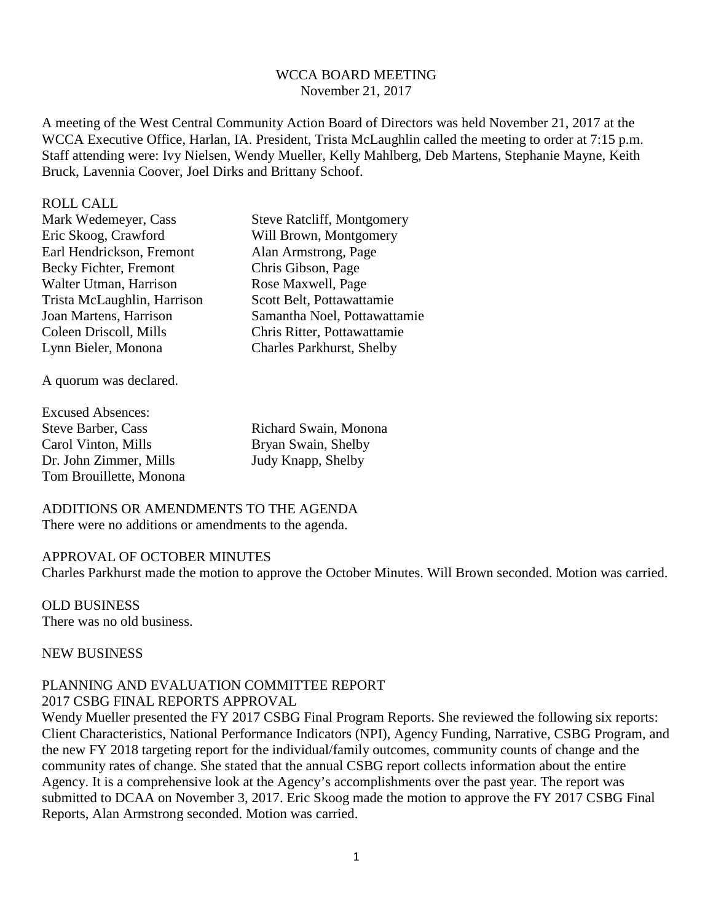### WCCA BOARD MEETING November 21, 2017

A meeting of the West Central Community Action Board of Directors was held November 21, 2017 at the WCCA Executive Office, Harlan, IA. President, Trista McLaughlin called the meeting to order at 7:15 p.m. Staff attending were: Ivy Nielsen, Wendy Mueller, Kelly Mahlberg, Deb Martens, Stephanie Mayne, Keith Bruck, Lavennia Coover, Joel Dirks and Brittany Schoof.

#### ROLL CALL

| Mark Wedemeyer, Cass        | <b>Steve Ratcliff, Montgomery</b> |
|-----------------------------|-----------------------------------|
| Eric Skoog, Crawford        | Will Brown, Montgomery            |
| Earl Hendrickson, Fremont   | Alan Armstrong, Page              |
| Becky Fichter, Fremont      | Chris Gibson, Page                |
| Walter Utman, Harrison      | Rose Maxwell, Page                |
| Trista McLaughlin, Harrison | Scott Belt, Pottawattamie         |
| Joan Martens, Harrison      | Samantha Noel, Pottawattamie      |
| Coleen Driscoll, Mills      | Chris Ritter, Pottawattamie       |
| Lynn Bieler, Monona         | <b>Charles Parkhurst, Shelby</b>  |
|                             |                                   |

A quorum was declared.

Excused Absences: Steve Barber, Cass Richard Swain, Monona Carol Vinton, Mills Bryan Swain, Shelby Dr. John Zimmer, Mills Judy Knapp, Shelby Tom Brouillette, Monona

ADDITIONS OR AMENDMENTS TO THE AGENDA There were no additions or amendments to the agenda.

#### APPROVAL OF OCTOBER MINUTES

Charles Parkhurst made the motion to approve the October Minutes. Will Brown seconded. Motion was carried.

OLD BUSINESS There was no old business.

NEW BUSINESS

### PLANNING AND EVALUATION COMMITTEE REPORT 2017 CSBG FINAL REPORTS APPROVAL

Wendy Mueller presented the FY 2017 CSBG Final Program Reports. She reviewed the following six reports: Client Characteristics, National Performance Indicators (NPI), Agency Funding, Narrative, CSBG Program, and the new FY 2018 targeting report for the individual/family outcomes, community counts of change and the community rates of change. She stated that the annual CSBG report collects information about the entire Agency. It is a comprehensive look at the Agency's accomplishments over the past year. The report was submitted to DCAA on November 3, 2017. Eric Skoog made the motion to approve the FY 2017 CSBG Final Reports, Alan Armstrong seconded. Motion was carried.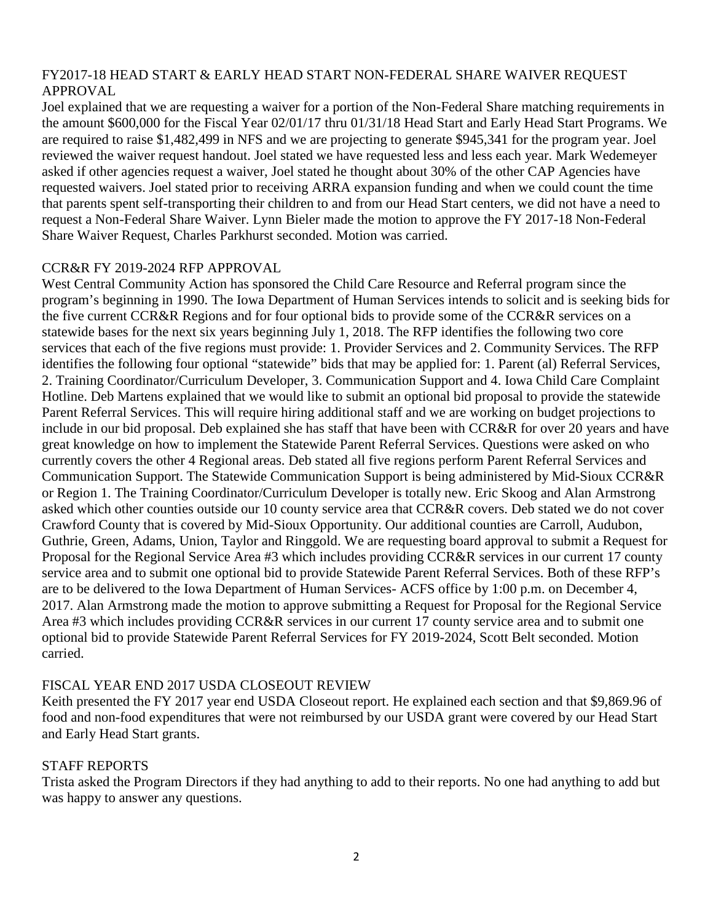# FY2017-18 HEAD START & EARLY HEAD START NON-FEDERAL SHARE WAIVER REQUEST APPROVAL

Joel explained that we are requesting a waiver for a portion of the Non-Federal Share matching requirements in the amount \$600,000 for the Fiscal Year 02/01/17 thru 01/31/18 Head Start and Early Head Start Programs. We are required to raise \$1,482,499 in NFS and we are projecting to generate \$945,341 for the program year. Joel reviewed the waiver request handout. Joel stated we have requested less and less each year. Mark Wedemeyer asked if other agencies request a waiver, Joel stated he thought about 30% of the other CAP Agencies have requested waivers. Joel stated prior to receiving ARRA expansion funding and when we could count the time that parents spent self-transporting their children to and from our Head Start centers, we did not have a need to request a Non-Federal Share Waiver. Lynn Bieler made the motion to approve the FY 2017-18 Non-Federal Share Waiver Request, Charles Parkhurst seconded. Motion was carried.

## CCR&R FY 2019-2024 RFP APPROVAL

West Central Community Action has sponsored the Child Care Resource and Referral program since the program's beginning in 1990. The Iowa Department of Human Services intends to solicit and is seeking bids for the five current CCR&R Regions and for four optional bids to provide some of the CCR&R services on a statewide bases for the next six years beginning July 1, 2018. The RFP identifies the following two core services that each of the five regions must provide: 1. Provider Services and 2. Community Services. The RFP identifies the following four optional "statewide" bids that may be applied for: 1. Parent (al) Referral Services, 2. Training Coordinator/Curriculum Developer, 3. Communication Support and 4. Iowa Child Care Complaint Hotline. Deb Martens explained that we would like to submit an optional bid proposal to provide the statewide Parent Referral Services. This will require hiring additional staff and we are working on budget projections to include in our bid proposal. Deb explained she has staff that have been with CCR&R for over 20 years and have great knowledge on how to implement the Statewide Parent Referral Services. Questions were asked on who currently covers the other 4 Regional areas. Deb stated all five regions perform Parent Referral Services and Communication Support. The Statewide Communication Support is being administered by Mid-Sioux CCR&R or Region 1. The Training Coordinator/Curriculum Developer is totally new. Eric Skoog and Alan Armstrong asked which other counties outside our 10 county service area that CCR&R covers. Deb stated we do not cover Crawford County that is covered by Mid-Sioux Opportunity. Our additional counties are Carroll, Audubon, Guthrie, Green, Adams, Union, Taylor and Ringgold. We are requesting board approval to submit a Request for Proposal for the Regional Service Area #3 which includes providing CCR&R services in our current 17 county service area and to submit one optional bid to provide Statewide Parent Referral Services. Both of these RFP's are to be delivered to the Iowa Department of Human Services- ACFS office by 1:00 p.m. on December 4, 2017. Alan Armstrong made the motion to approve submitting a Request for Proposal for the Regional Service Area #3 which includes providing CCR&R services in our current 17 county service area and to submit one optional bid to provide Statewide Parent Referral Services for FY 2019-2024, Scott Belt seconded. Motion carried.

# FISCAL YEAR END 2017 USDA CLOSEOUT REVIEW

Keith presented the FY 2017 year end USDA Closeout report. He explained each section and that \$9,869.96 of food and non-food expenditures that were not reimbursed by our USDA grant were covered by our Head Start and Early Head Start grants.

## STAFF REPORTS

Trista asked the Program Directors if they had anything to add to their reports. No one had anything to add but was happy to answer any questions.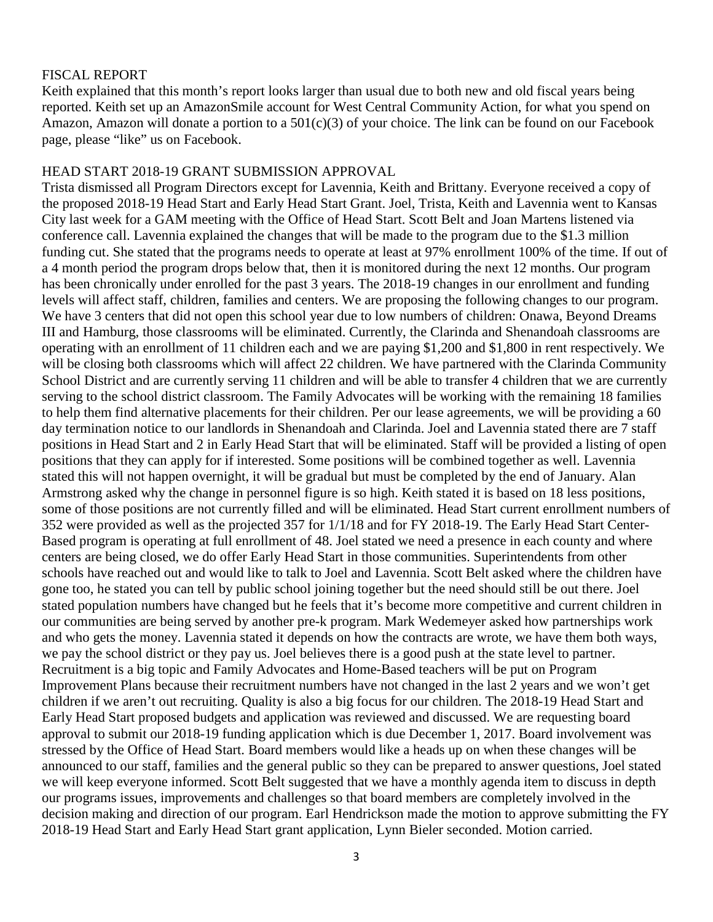### FISCAL REPORT

Keith explained that this month's report looks larger than usual due to both new and old fiscal years being reported. Keith set up an AmazonSmile account for West Central Community Action, for what you spend on Amazon, Amazon will donate a portion to a 501(c)(3) of your choice. The link can be found on our Facebook page, please "like" us on Facebook.

#### HEAD START 2018-19 GRANT SUBMISSION APPROVAL

Trista dismissed all Program Directors except for Lavennia, Keith and Brittany. Everyone received a copy of the proposed 2018-19 Head Start and Early Head Start Grant. Joel, Trista, Keith and Lavennia went to Kansas City last week for a GAM meeting with the Office of Head Start. Scott Belt and Joan Martens listened via conference call. Lavennia explained the changes that will be made to the program due to the \$1.3 million funding cut. She stated that the programs needs to operate at least at 97% enrollment 100% of the time. If out of a 4 month period the program drops below that, then it is monitored during the next 12 months. Our program has been chronically under enrolled for the past 3 years. The 2018-19 changes in our enrollment and funding levels will affect staff, children, families and centers. We are proposing the following changes to our program. We have 3 centers that did not open this school year due to low numbers of children: Onawa, Beyond Dreams III and Hamburg, those classrooms will be eliminated. Currently, the Clarinda and Shenandoah classrooms are operating with an enrollment of 11 children each and we are paying \$1,200 and \$1,800 in rent respectively. We will be closing both classrooms which will affect 22 children. We have partnered with the Clarinda Community School District and are currently serving 11 children and will be able to transfer 4 children that we are currently serving to the school district classroom. The Family Advocates will be working with the remaining 18 families to help them find alternative placements for their children. Per our lease agreements, we will be providing a 60 day termination notice to our landlords in Shenandoah and Clarinda. Joel and Lavennia stated there are 7 staff positions in Head Start and 2 in Early Head Start that will be eliminated. Staff will be provided a listing of open positions that they can apply for if interested. Some positions will be combined together as well. Lavennia stated this will not happen overnight, it will be gradual but must be completed by the end of January. Alan Armstrong asked why the change in personnel figure is so high. Keith stated it is based on 18 less positions, some of those positions are not currently filled and will be eliminated. Head Start current enrollment numbers of 352 were provided as well as the projected 357 for 1/1/18 and for FY 2018-19. The Early Head Start Center-Based program is operating at full enrollment of 48. Joel stated we need a presence in each county and where centers are being closed, we do offer Early Head Start in those communities. Superintendents from other schools have reached out and would like to talk to Joel and Lavennia. Scott Belt asked where the children have gone too, he stated you can tell by public school joining together but the need should still be out there. Joel stated population numbers have changed but he feels that it's become more competitive and current children in our communities are being served by another pre-k program. Mark Wedemeyer asked how partnerships work and who gets the money. Lavennia stated it depends on how the contracts are wrote, we have them both ways, we pay the school district or they pay us. Joel believes there is a good push at the state level to partner. Recruitment is a big topic and Family Advocates and Home-Based teachers will be put on Program Improvement Plans because their recruitment numbers have not changed in the last 2 years and we won't get children if we aren't out recruiting. Quality is also a big focus for our children. The 2018-19 Head Start and Early Head Start proposed budgets and application was reviewed and discussed. We are requesting board approval to submit our 2018-19 funding application which is due December 1, 2017. Board involvement was stressed by the Office of Head Start. Board members would like a heads up on when these changes will be announced to our staff, families and the general public so they can be prepared to answer questions, Joel stated we will keep everyone informed. Scott Belt suggested that we have a monthly agenda item to discuss in depth our programs issues, improvements and challenges so that board members are completely involved in the decision making and direction of our program. Earl Hendrickson made the motion to approve submitting the FY 2018-19 Head Start and Early Head Start grant application, Lynn Bieler seconded. Motion carried.